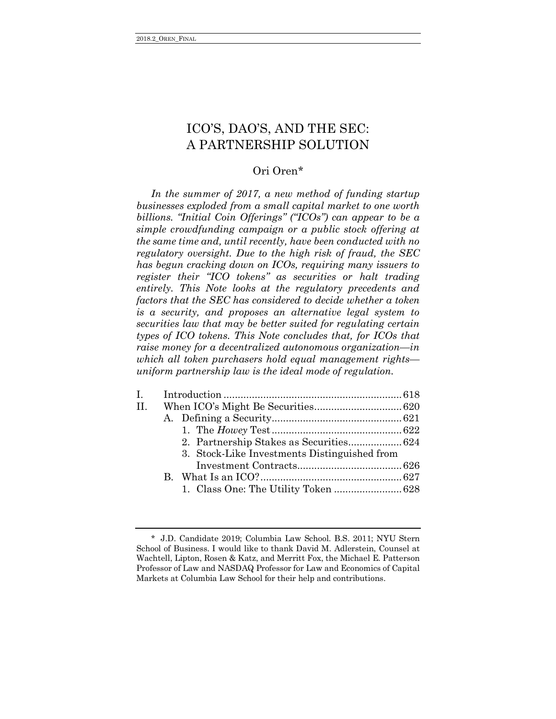# ICO'S, DAO'S, AND THE SEC: A PARTNERSHIP SOLUTION

## Ori Oren\*

*In the summer of 2017, a new method of funding startup businesses exploded from a small capital market to one worth billions. "Initial Coin Offerings" ("ICOs") can appear to be a simple crowdfunding campaign or a public stock offering at the same time and, until recently, have been conducted with no regulatory oversight. Due to the high risk of fraud, the SEC has begun cracking down on ICOs, requiring many issuers to register their "ICO tokens" as securities or halt trading entirely. This Note looks at the regulatory precedents and factors that the SEC has considered to decide whether a token is a security, and proposes an alternative legal system to securities law that may be better suited for regulating certain types of ICO tokens. This Note concludes that, for ICOs that raise money for a decentralized autonomous organization—in which all token purchasers hold equal management rights uniform partnership law is the ideal mode of regulation.*

| Ι.  |                                              |  |
|-----|----------------------------------------------|--|
| II. |                                              |  |
|     |                                              |  |
|     |                                              |  |
|     |                                              |  |
|     | 3. Stock-Like Investments Distinguished from |  |
|     |                                              |  |
|     |                                              |  |
|     |                                              |  |
|     |                                              |  |

<sup>\*</sup> J.D. Candidate 2019; Columbia Law School. B.S. 2011; NYU Stern School of Business. I would like to thank David M. Adlerstein, Counsel at Wachtell, Lipton, Rosen & Katz, and Merritt Fox, the Michael E. Patterson Professor of Law and NASDAQ Professor for Law and Economics of Capital Markets at Columbia Law School for their help and contributions.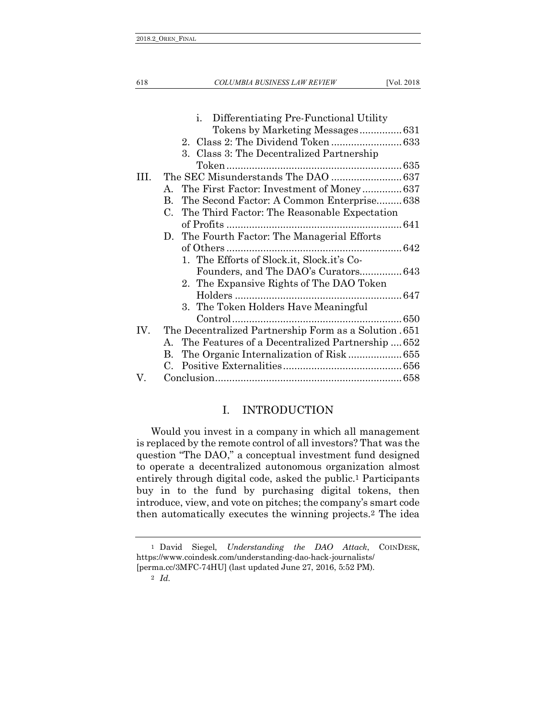618 *COLUMBIA BUSINESS LAW REVIEW* [Vol. 2018

| i.<br>Differentiating Pre-Functional Utility                      |                                                                                                                                                                                            |
|-------------------------------------------------------------------|--------------------------------------------------------------------------------------------------------------------------------------------------------------------------------------------|
|                                                                   |                                                                                                                                                                                            |
|                                                                   |                                                                                                                                                                                            |
| 3. Class 3: The Decentralized Partnership                         |                                                                                                                                                                                            |
|                                                                   |                                                                                                                                                                                            |
|                                                                   |                                                                                                                                                                                            |
| A. The First Factor: Investment of Money637                       |                                                                                                                                                                                            |
| The Second Factor: A Common Enterprise638<br>$\mathbf{B}_{\cdot}$ |                                                                                                                                                                                            |
|                                                                   |                                                                                                                                                                                            |
|                                                                   |                                                                                                                                                                                            |
| D. The Fourth Factor: The Managerial Efforts                      |                                                                                                                                                                                            |
|                                                                   |                                                                                                                                                                                            |
| 1. The Efforts of Slock.it, Slock.it's Co-                        |                                                                                                                                                                                            |
|                                                                   |                                                                                                                                                                                            |
|                                                                   |                                                                                                                                                                                            |
|                                                                   |                                                                                                                                                                                            |
|                                                                   |                                                                                                                                                                                            |
|                                                                   |                                                                                                                                                                                            |
| The Decentralized Partnership Form as a Solution .651             |                                                                                                                                                                                            |
|                                                                   |                                                                                                                                                                                            |
| B.                                                                |                                                                                                                                                                                            |
|                                                                   |                                                                                                                                                                                            |
|                                                                   |                                                                                                                                                                                            |
|                                                                   | C. The Third Factor: The Reasonable Expectation<br>2. The Expansive Rights of The DAO Token<br>3. The Token Holders Have Meaningful<br>A. The Features of a Decentralized Partnership  652 |

## <span id="page-1-0"></span>I. INTRODUCTION

Would you invest in a company in which all management is replaced by the remote control of all investors? That was the question "The DAO," a conceptual investment fund designed to operate a decentralized autonomous organization almost entirely through digital code, asked the public.1 Participants buy in to the fund by purchasing digital tokens, then introduce, view, and vote on pitches; the company's smart code then automatically executes the winning projects.2 The idea

2 *Id.*

<sup>1</sup> David Siegel, *Understanding the DAO Attack*, COINDESK, https://www.coindesk.com/understanding-dao-hack-journalists/ [perma.cc/3MFC-74HU] (last updated June 27, 2016, 5:52 PM).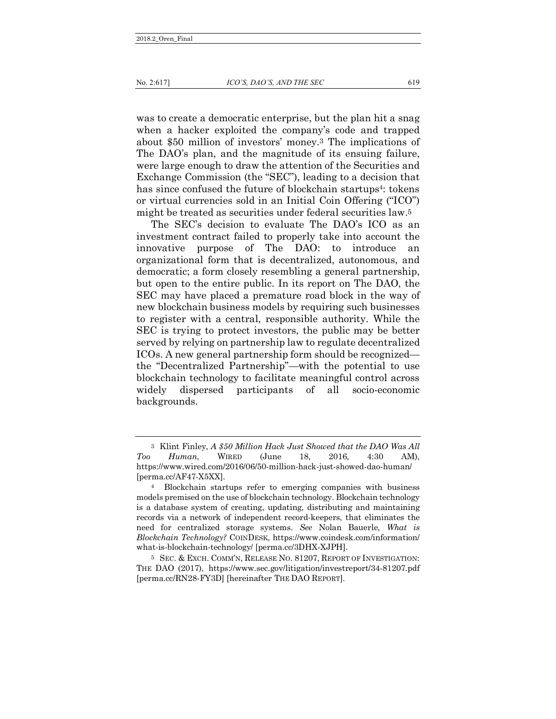was to create a democratic enterprise, but the plan hit a snag when a hacker exploited the company's code and trapped about \$50 million of investors' money.3 The implications of The DAO's plan, and the magnitude of its ensuing failure, were large enough to draw the attention of the Securities and Exchange Commission (the "SEC"), leading to a decision that has since confused the future of blockchain startups<sup>4</sup>: tokens or virtual currencies sold in an Initial Coin Offering ("ICO") might be treated as securities under federal securities law.5

The SEC's decision to evaluate The DAO's ICO as an investment contract failed to properly take into account the innovative purpose of The DAO: to introduce an organizational form that is decentralized, autonomous, and democratic; a form closely resembling a general partnership, but open to the entire public. In its report on The DAO, the SEC may have placed a premature road block in the way of new blockchain business models by requiring such businesses to register with a central, responsible authority. While the SEC is trying to protect investors, the public may be better served by relying on partnership law to regulate decentralized ICOs. A new general partnership form should be recognized the "Decentralized Partnership"—with the potential to use blockchain technology to facilitate meaningful control across widely dispersed participants of all socio-economic backgrounds.

<sup>3</sup> Klint Finley, *A \$50 Million Hack Just Showed that the DAO Was All Too Human*, WIRED (June 18, 2016, 4:30 AM), https://www.wired.com/2016/06/50-million-hack-just-showed-dao-human/ [perma.cc/AF47-X5XX].

<sup>4</sup> Blockchain startups refer to emerging companies with business models premised on the use of blockchain technology. Blockchain technology is a database system of creating, updating, distributing and maintaining records via a network of independent record-keepers, that eliminates the need for centralized storage systems. *See* Nolan Bauerle, *What is Blockchain Technology?* COINDESK, https://www.coindesk.com/information/ what-is-blockchain-technology/ [perma.cc/3DHX-XJPH].

<sup>5</sup> SEC. & EXCH. COMM'N, RELEASE NO. 81207, REPORT OF INVESTIGATION: THE DAO (2017), https://www.sec.gov/litigation/investreport/34-81207.pdf [perma.cc/RN28-FY3D] [hereinafter THE DAO REPORT].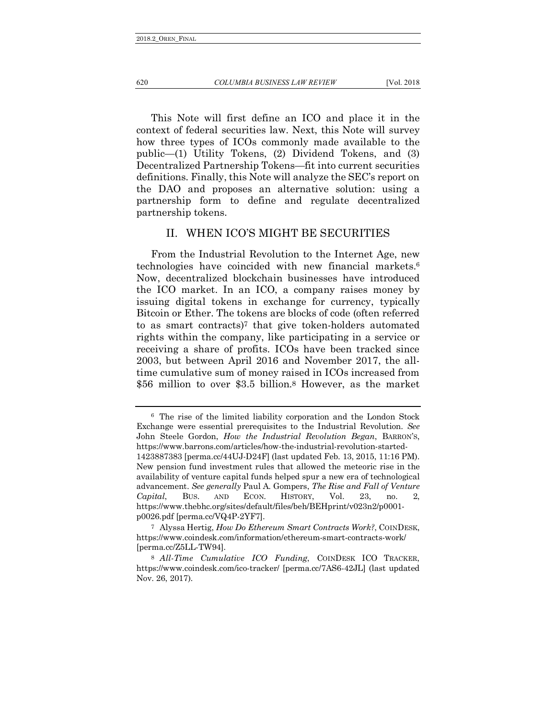This Note will first define an ICO and place it in the context of federal securities law. Next, this Note will survey how three types of ICOs commonly made available to the public—(1) Utility Tokens, (2) Dividend Tokens, and (3) Decentralized Partnership Tokens—fit into current securities definitions. Finally, this Note will analyze the SEC's report on the DAO and proposes an alternative solution: using a partnership form to define and regulate decentralized partnership tokens.

#### <span id="page-3-0"></span>II. WHEN ICO'S MIGHT BE SECURITIES

From the Industrial Revolution to the Internet Age, new technologies have coincided with new financial markets.6 Now, decentralized blockchain businesses have introduced the ICO market. In an ICO, a company raises money by issuing digital tokens in exchange for currency, typically Bitcoin or Ether. The tokens are blocks of code (often referred to as smart contracts)7 that give token-holders automated rights within the company, like participating in a service or receiving a share of profits. ICOs have been tracked since 2003, but between April 2016 and November 2017, the alltime cumulative sum of money raised in ICOs increased from \$56 million to over \$3.5 billion.8 However, as the market

<sup>6</sup> The rise of the limited liability corporation and the London Stock Exchange were essential prerequisites to the Industrial Revolution. *See* John Steele Gordon, *How the Industrial Revolution Began*, BARRON'S, https://www.barrons.com/articles/how-the-industrial-revolution-started-1423887383 [perma.cc/44UJ-D24F] (last updated Feb. 13, 2015, 11:16 PM). New pension fund investment rules that allowed the meteoric rise in the availability of venture capital funds helped spur a new era of technological advancement. *See generally* Paul A. Gompers, *The Rise and Fall of Venture Capital*, BUS. AND ECON. HISTORY, Vol. 23, no. 2, https://www.thebhc.org/sites/default/files/beh/BEHprint/v023n2/p0001 p0026.pdf [perma.cc/VQ4P-2YF7].

<sup>7</sup> Alyssa Hertig, *How Do Ethereum Smart Contracts Work?*, COINDESK, https://www.coindesk.com/information/ethereum-smart-contracts-work/ [perma.cc/Z5LL-TW94].

<sup>8</sup> *All-Time Cumulative ICO Funding*, COINDESK ICO TRACKER, https://www.coindesk.com/ico-tracker/ [perma.cc/7AS6-42JL] (last updated Nov. 26, 2017).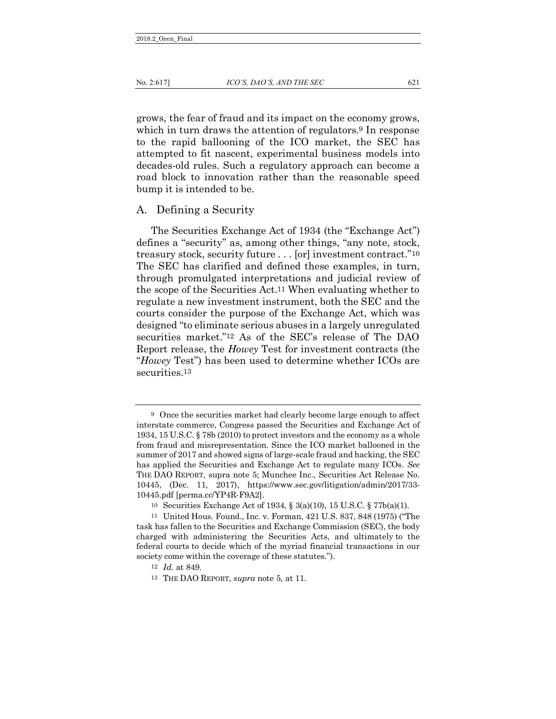No. 2:617] *ICO'S, DAO'S, AND THE SEC* 621

grows, the fear of fraud and its impact on the economy grows, which in turn draws the attention of regulators.<sup>9</sup> In response to the rapid ballooning of the ICO market, the SEC has attempted to fit nascent, experimental business models into decades-old rules. Such a regulatory approach can become a road block to innovation rather than the reasonable speed bump it is intended to be.

#### <span id="page-4-0"></span>A. Defining a Security

The Securities Exchange Act of 1934 (the "Exchange Act") defines a "security" as, among other things, "any note, stock, treasury stock, security future . . . [or] investment contract."10 The SEC has clarified and defined these examples, in turn, through promulgated interpretations and judicial review of the scope of the Securities Act.11 When evaluating whether to regulate a new investment instrument, both the SEC and the courts consider the purpose of the Exchange Act, which was designed "to eliminate serious abuses in a largely unregulated securities market."12 As of the SEC's release of The DAO Report release, the *Howey* Test for investment contracts (the "*Howey* Test") has been used to determine whether ICOs are securities.13

<sup>9</sup> Once the securities market had clearly become large enough to affect interstate commerce, Congress passed the Securities and Exchange Act of 1934, 15 U.S.C. § 78b (2010) to protect investors and the economy as a whole from fraud and misrepresentation. Since the ICO market ballooned in the summer of 2017 and showed signs of large-scale fraud and hacking, the SEC has applied the Securities and Exchange Act to regulate many ICOs. *See* THE DAO REPORT, supra note 5; Munchee Inc., Securities Act Release No. 10445, (Dec. 11, 2017), https://www.sec.gov/litigation/admin/2017/33- 10445.pdf [perma.cc/YP4R-F9A2].

<sup>10</sup> Securities Exchange Act of 1934, § 3(a)(10), 15 U.S.C. § 77b(a)(1).

<sup>11</sup> United Hous. Found., Inc. v. Forman, 421 U.S. 837, 848 (1975) ("The task has fallen to the Securities and Exchange Commission (SEC), the body charged with administering the Securities Acts, and ultimately to the federal courts to decide which of the myriad financial transactions in our society come within the coverage of these statutes.").

<sup>12</sup> *Id.* at 849.

<sup>13</sup> THE DAO REPORT, *supra* note 5, at 11.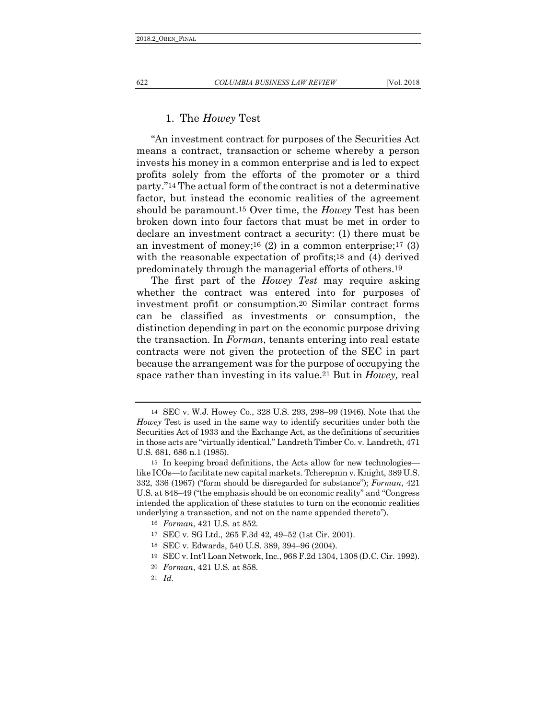#### <span id="page-5-0"></span>1. The *Howey* Test

"An investment contract for purposes of the Securities Act means a contract, transaction or scheme whereby a person invests his money in a common enterprise and is led to expect profits solely from the efforts of the promoter or a third party."14 The actual form of the contract is not a determinative factor, but instead the economic realities of the agreement should be paramount.15 Over time, the *Howey* Test has been broken down into four factors that must be met in order to declare an investment contract a security: (1) there must be an investment of money;<sup>16</sup> (2) in a common enterprise;<sup>17</sup> (3) with the reasonable expectation of profits;<sup>18</sup> and (4) derived predominately through the managerial efforts of others.19

The first part of the *Howey Test* may require asking whether the contract was entered into for purposes of investment profit or consumption.20 Similar contract forms can be classified as investments or consumption, the distinction depending in part on the economic purpose driving the transaction. In *Forman*, tenants entering into real estate contracts were not given the protection of the SEC in part because the arrangement was for the purpose of occupying the space rather than investing in its value.21 But in *Howey,* real

<sup>14</sup> SEC v. W.J. Howey Co., 328 U.S. 293, 298–99 (1946). Note that the *Howey* Test is used in the same way to identify securities under both the Securities Act of 1933 and the Exchange Act, as the definitions of securities in those acts are "virtually identical." Landreth Timber Co. v. Landreth, 471 U.S. 681, 686 n.1 (1985).

<sup>15</sup> In keeping broad definitions, the Acts allow for new technologies like ICOs—to facilitate new capital markets. Tcherepnin v. Knight, 389 U.S. 332, 336 (1967) ("form should be disregarded for substance"); *Forman*, 421 U.S. at 848–49 ("the emphasis should be on economic reality" and "Congress intended the application of these statutes to turn on the economic realities underlying a transaction, and not on the name appended thereto").

<sup>16</sup> *Forman*, 421 U.S. at 852.

<sup>17</sup> SEC v. SG Ltd., 265 F.3d 42, 49–52 (1st Cir. 2001).

<sup>18</sup> SEC v. Edwards, 540 U.S. 389, 394–96 (2004).

<sup>19</sup> SEC v. Int'l Loan Network, Inc., 968 F.2d 1304, 1308 (D.C. Cir. 1992).

<sup>20</sup> *Forman*, 421 U.S. at 858.

<sup>21</sup> *Id.*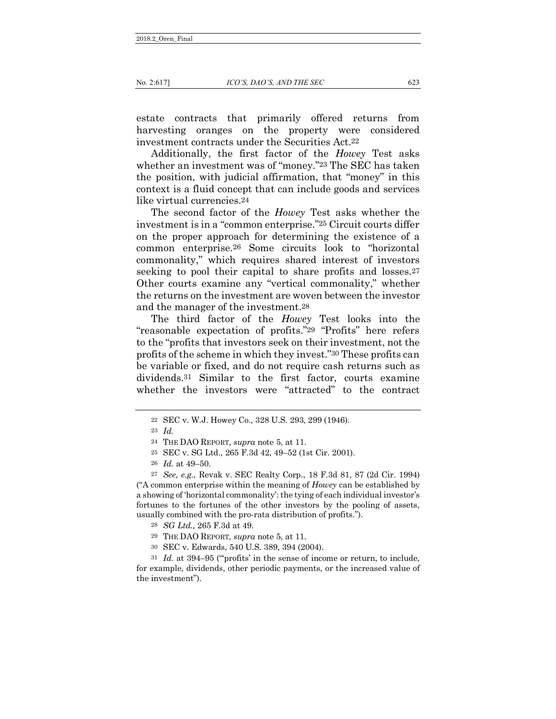estate contracts that primarily offered returns from harvesting oranges on the property were considered investment contracts under the Securities Act.22

Additionally, the first factor of the *Howey* Test asks whether an investment was of "money."23 The SEC has taken the position, with judicial affirmation, that "money" in this context is a fluid concept that can include goods and services like virtual currencies.24

The second factor of the *Howey* Test asks whether the investment is in a "common enterprise."25 Circuit courts differ on the proper approach for determining the existence of a common enterprise.26 Some circuits look to "horizontal commonality," which requires shared interest of investors seeking to pool their capital to share profits and losses.<sup>27</sup> Other courts examine any "vertical commonality," whether the returns on the investment are woven between the investor and the manager of the investment.28

The third factor of the *Howey* Test looks into the "reasonable expectation of profits."29 "Profits" here refers to the "profits that investors seek on their investment, not the profits of the scheme in which they invest."30 These profits can be variable or fixed, and do not require cash returns such as dividends.31 Similar to the first factor, courts examine whether the investors were "attracted" to the contract

("A common enterprise within the meaning of *Howey* can be established by a showing of 'horizontal commonality': the tying of each individual investor's fortunes to the fortunes of the other investors by the pooling of assets, usually combined with the pro-rata distribution of profits.").

31 *Id.* at 394–95 ("'profits' in the sense of income or return, to include, for example, dividends, other periodic payments, or the increased value of the investment").

<sup>22</sup> SEC v. W.J. Howey Co., 328 U.S. 293, 299 (1946).

<sup>23</sup> *Id.*

<sup>24</sup> THE DAO REPORT, *supra* note 5, at 11.

<sup>25</sup> SEC v. SG Ltd., 265 F.3d 42, 49–52 (1st Cir. 2001).

<sup>26</sup> *Id.* at 49–50.

<sup>27</sup> *See, e.g.*, Revak v. SEC Realty Corp., 18 F.3d 81, 87 (2d Cir. 1994)

<sup>28</sup> *SG Ltd.,* 265 F.3d at 49.

<sup>29</sup> THE DAO REPORT, *supra* note 5, at 11.

<sup>30</sup> SEC v. Edwards, 540 U.S. 389, 394 (2004).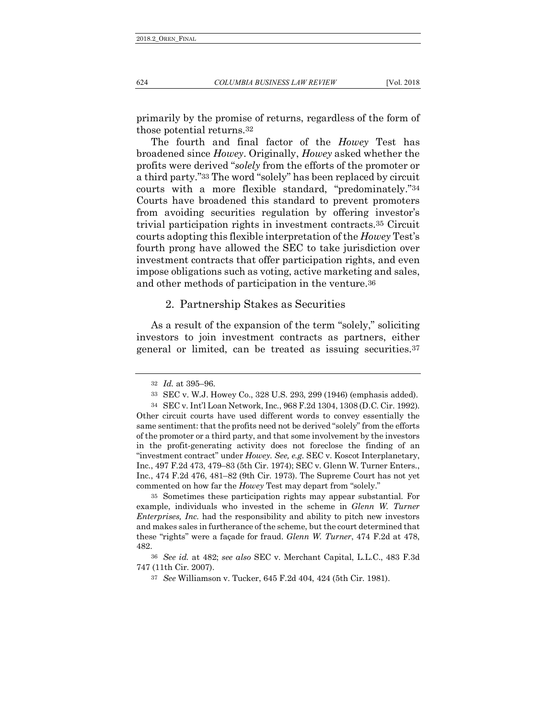primarily by the promise of returns, regardless of the form of those potential returns.32

The fourth and final factor of the *Howey* Test has broadened since *Howey*. Originally, *Howey* asked whether the profits were derived "*solely* from the efforts of the promoter or a third party."33 The word "solely" has been replaced by circuit courts with a more flexible standard, "predominately."34 Courts have broadened this standard to prevent promoters from avoiding securities regulation by offering investor's trivial participation rights in investment contracts.35 Circuit courts adopting this flexible interpretation of the *Howey* Test's fourth prong have allowed the SEC to take jurisdiction over investment contracts that offer participation rights, and even impose obligations such as voting, active marketing and sales, and other methods of participation in the venture.36

#### 2. Partnership Stakes as Securities

As a result of the expansion of the term "solely," soliciting investors to join investment contracts as partners, either general or limited, can be treated as issuing securities.37

35 Sometimes these participation rights may appear substantial. For example, individuals who invested in the scheme in *Glenn W. Turner Enterprises, Inc.* had the responsibility and ability to pitch new investors and makes sales in furtherance of the scheme, but the court determined that these "rights" were a façade for fraud. *Glenn W. Turner*, 474 F.2d at 478, 482.

<sup>32</sup> *Id.* at 395–96.

<sup>33</sup> SEC v. W.J. Howey Co., 328 U.S. 293, 299 (1946) (emphasis added).

<sup>34</sup> SEC v. Int'l Loan Network, Inc., 968 F.2d 1304, 1308 (D.C. Cir. 1992). Other circuit courts have used different words to convey essentially the same sentiment: that the profits need not be derived "solely" from the efforts of the promoter or a third party, and that some involvement by the investors in the profit-generating activity does not foreclose the finding of an "investment contract" under *Howey*. *See, e.g.* SEC v. Koscot Interplanetary, Inc., 497 F.2d 473, 479–83 (5th Cir. 1974); SEC v. Glenn W. Turner Enters., Inc., 474 F.2d 476, 481–82 (9th Cir. 1973). The Supreme Court has not yet commented on how far the *Howey* Test may depart from "solely."

<sup>36</sup> *See id.* at 482; *see also* SEC v. Merchant Capital, L.L.C., 483 F.3d 747 (11th Cir. 2007).

<sup>37</sup> *See* Williamson v. Tucker, 645 F.2d 404, 424 (5th Cir. 1981).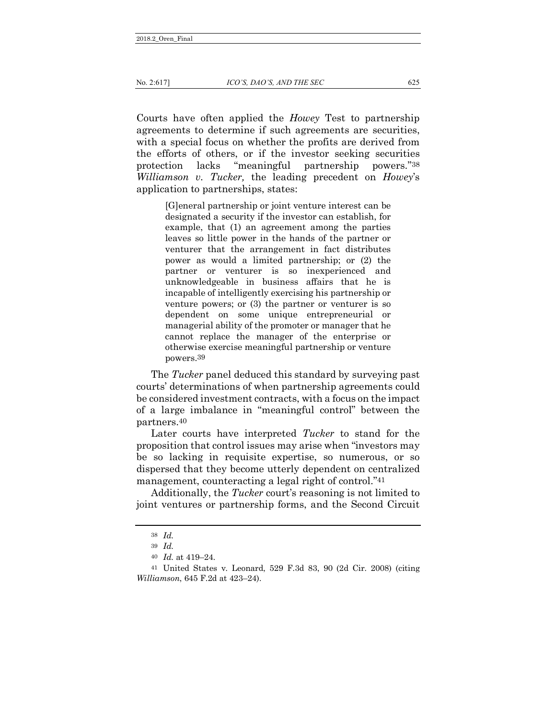Courts have often applied the *Howey* Test to partnership agreements to determine if such agreements are securities, with a special focus on whether the profits are derived from the efforts of others, or if the investor seeking securities protection lacks "meaningful partnership powers."38 *Williamson v. Tucker,* the leading precedent on *Howey*'s application to partnerships, states:

> <span id="page-8-0"></span>[G]eneral partnership or joint venture interest can be designated a security if the investor can establish, for example, that (1) an agreement among the parties leaves so little power in the hands of the partner or venturer that the arrangement in fact distributes power as would a limited partnership; or (2) the partner or venturer is so inexperienced and unknowledgeable in business affairs that he is incapable of intelligently exercising his partnership or venture powers; or (3) the partner or venturer is so dependent on some unique entrepreneurial or managerial ability of the promoter or manager that he cannot replace the manager of the enterprise or otherwise exercise meaningful partnership or venture powers.39

The *Tucker* panel deduced this standard by surveying past courts' determinations of when partnership agreements could be considered investment contracts, with a focus on the impact of a large imbalance in "meaningful control" between the partners.40

Later courts have interpreted *Tucker* to stand for the proposition that control issues may arise when "investors may be so lacking in requisite expertise, so numerous, or so dispersed that they become utterly dependent on centralized management, counteracting a legal right of control."41

Additionally, the *Tucker* court's reasoning is not limited to joint ventures or partnership forms, and the Second Circuit

<sup>38</sup> *Id.*

<sup>39</sup> *Id.*

<sup>40</sup> *Id.* at 419–24.

<sup>41</sup> United States v. Leonard, 529 F.3d 83, 90 (2d Cir. 2008) (citing *Williamson*, 645 F.2d at 423–24).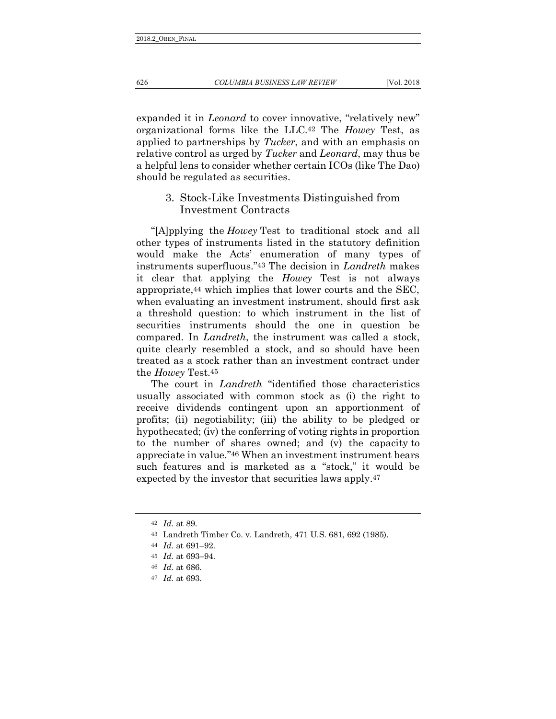expanded it in *Leonard* to cover innovative, "relatively new" organizational forms like the LLC.42 The *Howey* Test, as applied to partnerships by *Tucker*, and with an emphasis on relative control as urged by *Tucker* and *Leonard*, may thus be a helpful lens to consider whether certain ICOs (like The Dao) should be regulated as securities.

## <span id="page-9-0"></span>3. Stock-Like Investments Distinguished from Investment Contracts

"[A]pplying the *Howey* Test to traditional stock and all other types of instruments listed in the statutory definition would make the Acts' enumeration of many types of instruments superfluous."43 The decision in *Landreth* makes it clear that applying the *Howey* Test is not always appropriate,44 which implies that lower courts and the SEC, when evaluating an investment instrument, should first ask a threshold question: to which instrument in the list of securities instruments should the one in question be compared. In *Landreth*, the instrument was called a stock, quite clearly resembled a stock, and so should have been treated as a stock rather than an investment contract under the *Howey* Test.45

The court in *Landreth* "identified those characteristics usually associated with common stock as (i) the right to receive dividends contingent upon an apportionment of profits; (ii) negotiability; (iii) the ability to be pledged or hypothecated; (iv) the conferring of voting rights in proportion to the number of shares owned; and (v) the capacity to appreciate in value."46 When an investment instrument bears such features and is marketed as a "stock," it would be expected by the investor that securities laws apply.47

<sup>42</sup> *Id.* at 89.

<sup>43</sup> Landreth Timber Co. v. Landreth, 471 U.S. 681, 692 (1985).

<sup>44</sup> *Id.* at 691–92.

<sup>45</sup> *Id.* at 693–94.

<sup>46</sup> *Id.* at 686.

<sup>47</sup> *Id.* at 693.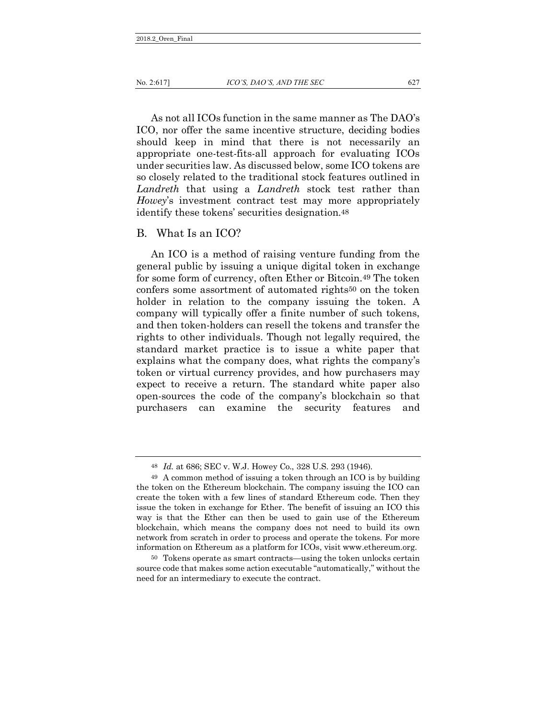#### No. 2:617] *ICO'S, DAO'S, AND THE SEC* 627

As not all ICOs function in the same manner as The DAO's ICO, nor offer the same incentive structure, deciding bodies should keep in mind that there is not necessarily an appropriate one-test-fits-all approach for evaluating ICOs under securities law. As discussed below, some ICO tokens are so closely related to the traditional stock features outlined in *Landreth* that using a *Landreth* stock test rather than *Howey*'s investment contract test may more appropriately identify these tokens' securities designation.48

#### B. What Is an ICO?

<span id="page-10-0"></span>An ICO is a method of raising venture funding from the general public by issuing a unique digital token in exchange for some form of currency, often Ether or Bitcoin.49 The token confers some assortment of automated rights50 on the token holder in relation to the company issuing the token. A company will typically offer a finite number of such tokens, and then token-holders can resell the tokens and transfer the rights to other individuals. Though not legally required, the standard market practice is to issue a white paper that explains what the company does, what rights the company's token or virtual currency provides, and how purchasers may expect to receive a return. The standard white paper also open-sources the code of the company's blockchain so that purchasers can examine the security features and

<sup>48</sup> *Id.* at 686; SEC v. W.J. Howey Co., 328 U.S. 293 (1946).

<sup>49</sup> A common method of issuing a token through an ICO is by building the token on the Ethereum blockchain. The company issuing the ICO can create the token with a few lines of standard Ethereum code. Then they issue the token in exchange for Ether. The benefit of issuing an ICO this way is that the Ether can then be used to gain use of the Ethereum blockchain, which means the company does not need to build its own network from scratch in order to process and operate the tokens. For more information on Ethereum as a platform for ICOs, visit www.ethereum.org.

<sup>50</sup> Tokens operate as smart contracts—using the token unlocks certain source code that makes some action executable "automatically," without the need for an intermediary to execute the contract.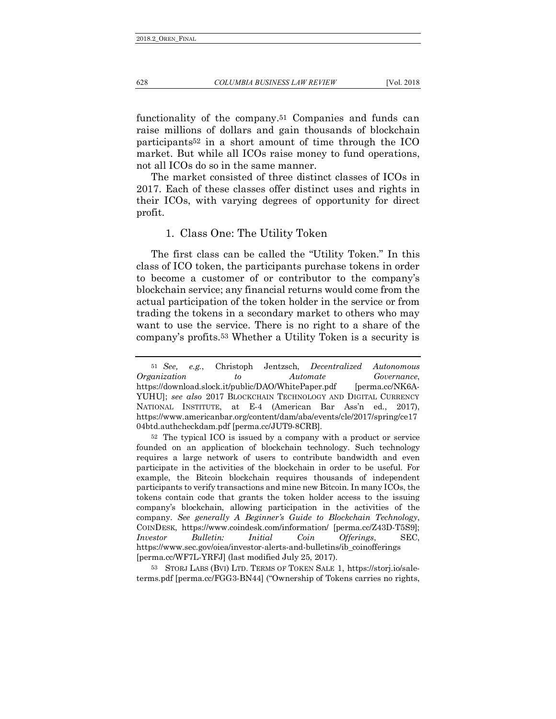functionality of the company.51 Companies and funds can raise millions of dollars and gain thousands of blockchain participants52 in a short amount of time through the ICO market. But while all ICOs raise money to fund operations,

not all ICOs do so in the same manner. The market consisted of three distinct classes of ICOs in 2017. Each of these classes offer distinct uses and rights in their ICOs, with varying degrees of opportunity for direct profit.

#### <span id="page-11-0"></span>1. Class One: The Utility Token

The first class can be called the "Utility Token." In this class of ICO token, the participants purchase tokens in order to become a customer of or contributor to the company's blockchain service; any financial returns would come from the actual participation of the token holder in the service or from trading the tokens in a secondary market to others who may want to use the service. There is no right to a share of the company's profits.53 Whether a Utility Token is a security is

53 STORJ LABS (BVI) LTD. TERMS OF TOKEN SALE 1, https://storj.io/saleterms.pdf [perma.cc/FGG3-BN44] ("Ownership of Tokens carries no rights,

<sup>51</sup> *See, e.g.*, Christoph Jentzsch, *Decentralized Autonomous Organization to Automate Governance*, https://download.slock.it/public/DAO/WhitePaper.pdf [perma.cc/NK6A-YUHU]; *see also* 2017 BLOCKCHAIN TECHNOLOGY AND DIGITAL CURRENCY NATIONAL INSTITUTE, at E-4 (American Bar Ass'n ed., 2017), https://www.americanbar.org/content/dam/aba/events/cle/2017/spring/ce17 04btd.authcheckdam.pdf [perma.cc/JUT9-8CRB].

<sup>52</sup> The typical ICO is issued by a company with a product or service founded on an application of blockchain technology. Such technology requires a large network of users to contribute bandwidth and even participate in the activities of the blockchain in order to be useful. For example, the Bitcoin blockchain requires thousands of independent participants to verify transactions and mine new Bitcoin. In many ICOs, the tokens contain code that grants the token holder access to the issuing company's blockchain, allowing participation in the activities of the company. *See generally A Beginner's Guide to Blockchain Technology*, COINDESK, https://www.coindesk.com/information/ [perma.cc/Z43D-T5S9]; *Investor Bulletin: Initial Coin Offerings*, SEC, https://www.sec.gov/oiea/investor-alerts-and-bulletins/ib\_coinofferings [perma.cc/WF7L-YRFJ] (last modified July 25, 2017).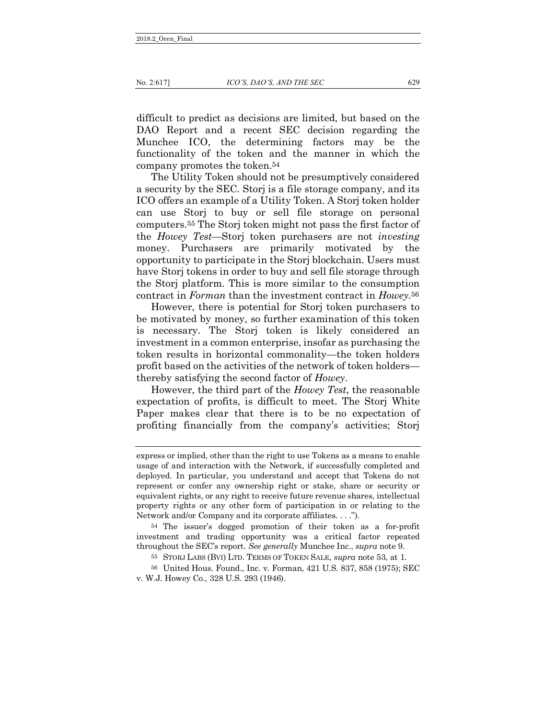difficult to predict as decisions are limited, but based on the DAO Report and a recent SEC decision regarding the Munchee ICO, the determining factors may be the functionality of the token and the manner in which the company promotes the token.54

The Utility Token should not be presumptively considered a security by the SEC. Storj is a file storage company, and its ICO offers an example of a Utility Token. A Storj token holder can use Storj to buy or sell file storage on personal computers.55 The Storj token might not pass the first factor of the *Howey Test*—Storj token purchasers are not *investing* money. Purchasers are primarily motivated by the opportunity to participate in the Storj blockchain. Users must have Storj tokens in order to buy and sell file storage through the Storj platform. This is more similar to the consumption contract in *Forman* than the investment contract in *Howey.*56

However, there is potential for Storj token purchasers to be motivated by money, so further examination of this token is necessary. The Storj token is likely considered an investment in a common enterprise, insofar as purchasing the token results in horizontal commonality—the token holders profit based on the activities of the network of token holders thereby satisfying the second factor of *Howey*.

However, the third part of the *Howey Test*, the reasonable expectation of profits, is difficult to meet. The Storj White Paper makes clear that there is to be no expectation of profiting financially from the company's activities; Storj

54 The issuer's dogged promotion of their token as a for-profit investment and trading opportunity was a critical factor repeated throughout the SEC's report. *See generally* Munchee Inc., *supra* note 9.

express or implied, other than the right to use Tokens as a means to enable usage of and interaction with the Network, if successfully completed and deployed. In particular, you understand and accept that Tokens do not represent or confer any ownership right or stake, share or security or equivalent rights, or any right to receive future revenue shares, intellectual property rights or any other form of participation in or relating to the Network and/or Company and its corporate affiliates. . . .").

<sup>55</sup> STORJ LABS (BVI) LTD. TERMS OF TOKEN SALE, *supra* note 53, at 1.

<sup>56</sup> United Hous. Found., Inc. v. Forman, 421 U.S. 837, 858 (1975); SEC v. W.J. Howey Co., 328 U.S. 293 (1946).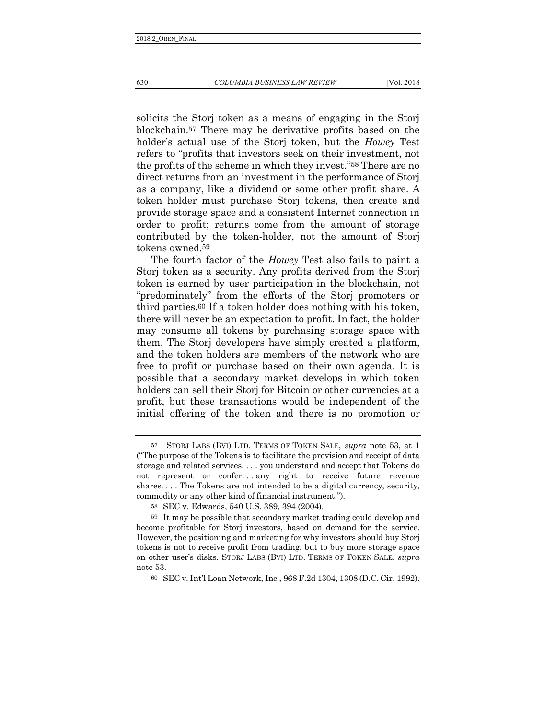solicits the Storj token as a means of engaging in the Storj blockchain.57 There may be derivative profits based on the holder's actual use of the Storj token, but the *Howey* Test refers to "profits that investors seek on their investment, not the profits of the scheme in which they invest."58 There are no direct returns from an investment in the performance of Storj as a company, like a dividend or some other profit share. A token holder must purchase Storj tokens, then create and provide storage space and a consistent Internet connection in order to profit; returns come from the amount of storage contributed by the token-holder, not the amount of Storj tokens owned.59

The fourth factor of the *Howey* Test also fails to paint a Storj token as a security. Any profits derived from the Storj token is earned by user participation in the blockchain, not "predominately" from the efforts of the Storj promoters or third parties.60 If a token holder does nothing with his token, there will never be an expectation to profit. In fact, the holder may consume all tokens by purchasing storage space with them. The Storj developers have simply created a platform, and the token holders are members of the network who are free to profit or purchase based on their own agenda. It is possible that a secondary market develops in which token holders can sell their Storj for Bitcoin or other currencies at a profit, but these transactions would be independent of the initial offering of the token and there is no promotion or

<sup>57</sup> STORJ LABS (BVI) LTD. TERMS OF TOKEN SALE, *supra* note 53, at 1 ("The purpose of the Tokens is to facilitate the provision and receipt of data storage and related services. . . . you understand and accept that Tokens do not represent or confer. . . any right to receive future revenue shares. . . . The Tokens are not intended to be a digital currency, security, commodity or any other kind of financial instrument.").

<sup>58</sup> SEC v. Edwards, 540 U.S. 389, 394 (2004).

<sup>59</sup> It may be possible that secondary market trading could develop and become profitable for Storj investors, based on demand for the service. However, the positioning and marketing for why investors should buy Storj tokens is not to receive profit from trading, but to buy more storage space on other user's disks. STORJ LABS (BVI) LTD. TERMS OF TOKEN SALE, *supra* note 53.

<sup>60</sup> SEC v. Int'l Loan Network, Inc., 968 F.2d 1304, 1308 (D.C. Cir. 1992).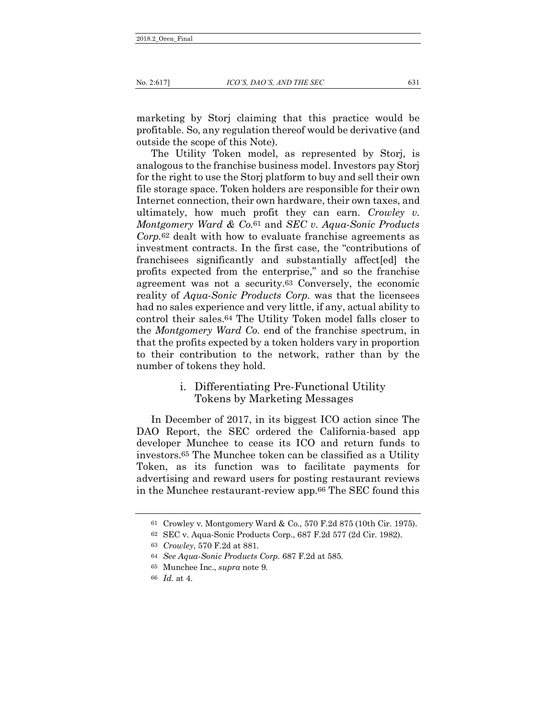marketing by Storj claiming that this practice would be profitable. So, any regulation thereof would be derivative (and outside the scope of this Note).

The Utility Token model, as represented by Storj, is analogous to the franchise business model. Investors pay Storj for the right to use the Storj platform to buy and sell their own file storage space. Token holders are responsible for their own Internet connection, their own hardware, their own taxes, and ultimately, how much profit they can earn. *Crowley v. Montgomery Ward & Co.*61 and *SEC v. Aqua-Sonic Products Corp.*62 dealt with how to evaluate franchise agreements as investment contracts. In the first case, the "contributions of franchisees significantly and substantially affect[ed] the profits expected from the enterprise," and so the franchise agreement was not a security.63 Conversely, the economic reality of *Aqua-Sonic Products Corp.* was that the licensees had no sales experience and very little, if any, actual ability to control their sales.64 The Utility Token model falls closer to the *Montgomery Ward Co.* end of the franchise spectrum, in that the profits expected by a token holders vary in proportion to their contribution to the network, rather than by the number of tokens they hold.

## i. Differentiating Pre-Functional Utility Tokens by Marketing Messages

In December of 2017, in its biggest ICO action since The DAO Report, the SEC ordered the California-based app developer Munchee to cease its ICO and return funds to investors.65 The Munchee token can be classified as a Utility Token, as its function was to facilitate payments for advertising and reward users for posting restaurant reviews in the Munchee restaurant-review app.66 The SEC found this

<sup>61</sup> Crowley v. Montgomery Ward & Co., 570 F.2d 875 (10th Cir. 1975).

<sup>62</sup> SEC v. Aqua-Sonic Products Corp., 687 F.2d 577 (2d Cir. 1982).

<sup>63</sup> *Crowley*, 570 F.2d at 881.

<sup>64</sup> *See Aqua-Sonic Products Corp.* 687 F.2d at 585.

<sup>65</sup> Munchee Inc., *supra* note 9.

<sup>66</sup> *Id.* at 4.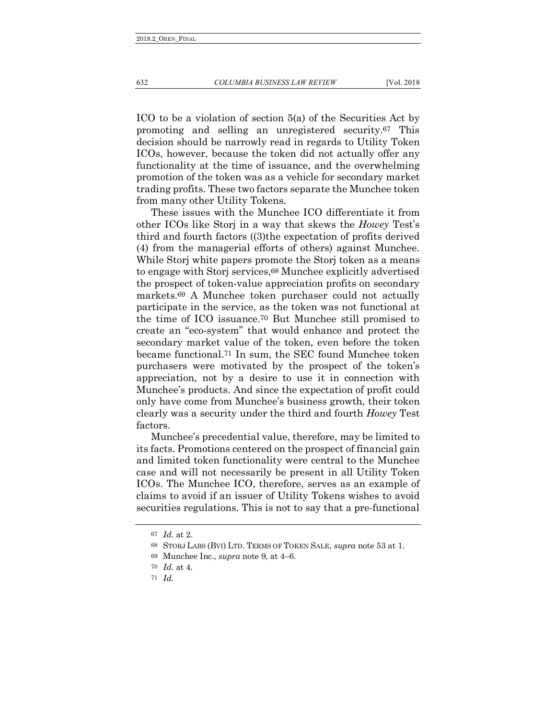<span id="page-15-0"></span>

ICO to be a violation of section 5(a) of the Securities Act by promoting and selling an unregistered security.67 This decision should be narrowly read in regards to Utility Token ICOs, however, because the token did not actually offer any functionality at the time of issuance, and the overwhelming promotion of the token was as a vehicle for secondary market trading profits. These two factors separate the Munchee token from many other Utility Tokens.

These issues with the Munchee ICO differentiate it from other ICOs like Storj in a way that skews the *Howey* Test's third and fourth factors ((3)the expectation of profits derived (4) from the managerial efforts of others) against Munchee. While Storj white papers promote the Storj token as a means to engage with Storj services,68 Munchee explicitly advertised the prospect of token-value appreciation profits on secondary markets.69 A Munchee token purchaser could not actually participate in the service, as the token was not functional at the time of ICO issuance.70 But Munchee still promised to create an "eco-system" that would enhance and protect the secondary market value of the token, even before the token became functional.71 In sum, the SEC found Munchee token purchasers were motivated by the prospect of the token's appreciation, not by a desire to use it in connection with Munchee's products. And since the expectation of profit could only have come from Munchee's business growth, their token clearly was a security under the third and fourth *Howey* Test factors.

Munchee's precedential value, therefore, may be limited to its facts. Promotions centered on the prospect of financial gain and limited token functionality were central to the Munchee case and will not necessarily be present in all Utility Token ICOs. The Munchee ICO, therefore, serves as an example of claims to avoid if an issuer of Utility Tokens wishes to avoid securities regulations. This is not to say that a pre-functional

<sup>67</sup> *Id.* at 2.

<sup>68</sup> STORJ LABS (BVI) LTD. TERMS OF TOKEN SALE, *supra* note 53 at 1.

<sup>69</sup> Munchee Inc., *supra* note 9, at 4–6.

<sup>70</sup> *Id.* at 4.

<sup>71</sup> *Id.*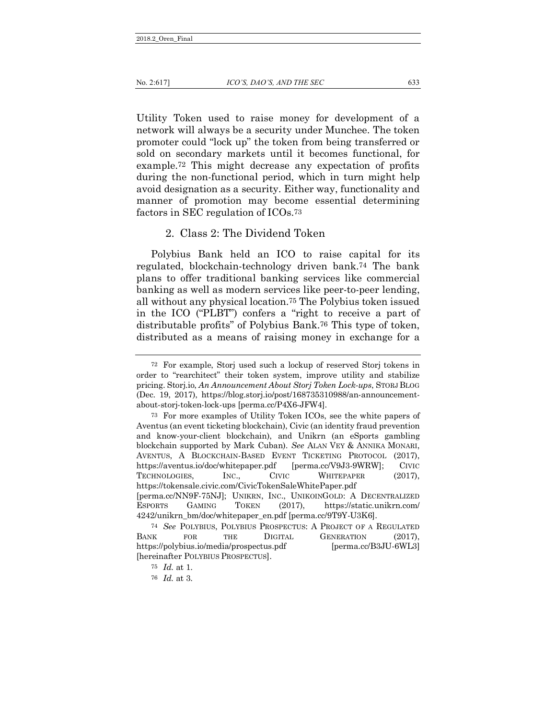Utility Token used to raise money for development of a network will always be a security under Munchee. The token promoter could "lock up" the token from being transferred or sold on secondary markets until it becomes functional, for example.72 This might decrease any expectation of profits during the non-functional period, which in turn might help avoid designation as a security. Either way, functionality and manner of promotion may become essential determining factors in SEC regulation of ICOs.73

#### 2. Class 2: The Dividend Token

Polybius Bank held an ICO to raise capital for its regulated, blockchain-technology driven bank.74 The bank plans to offer traditional banking services like commercial banking as well as modern services like peer-to-peer lending, all without any physical location.75 The Polybius token issued in the ICO ("PLBT") confers a "right to receive a part of distributable profits" of Polybius Bank.76 This type of token, distributed as a means of raising money in exchange for a

<sup>72</sup> For example, Storj used such a lockup of reserved Storj tokens in order to "rearchitect" their token system, improve utility and stabilize pricing. Storj.io, *An Announcement About Storj Token Lock-ups*, STORJ BLOG (Dec. 19, 2017), https://blog.storj.io/post/168735310988/an-announcementabout-storj-token-lock-ups [perma.cc/P4X6-JFW4].

<sup>73</sup> For more examples of Utility Token ICOs, see the white papers of Aventus (an event ticketing blockchain), Civic (an identity fraud prevention and know-your-client blockchain), and Unikrn (an eSports gambling blockchain supported by Mark Cuban). *See* ALAN VEY & ANNIKA MONARI, AVENTUS, A BLOCKCHAIN-BASED EVENT TICKETING PROTOCOL (2017), https://aventus.io/doc/whitepaper.pdf [perma.cc/V9J3-9WRW]; CIVIC TECHNOLOGIES, INC., CIVIC WHITEPAPER (2017), https://tokensale.civic.com/CivicTokenSaleWhitePaper.pdf [perma.cc/NN9F-75NJ]; UNIKRN, INC., UNIKOINGOLD: A DECENTRALIZED ESPORTS GAMING TOKEN (2017), https://static.unikrn.com/ 4242/unikrn\_bm/doc/whitepaper\_en.pdf [perma.cc/9T9Y-U3K6].

<sup>74</sup> *See* POLYBIUS, POLYBIUS PROSPECTUS: A PROJECT OF A REGULATED BANK FOR THE DIGITAL GENERATION (2017), https://polybius.io/media/prospectus.pdf [perma.cc/B3JU-6WL3] [hereinafter POLYBIUS PROSPECTUS].

<sup>75</sup> *Id.* at 1.

<sup>76</sup> *Id.* at 3.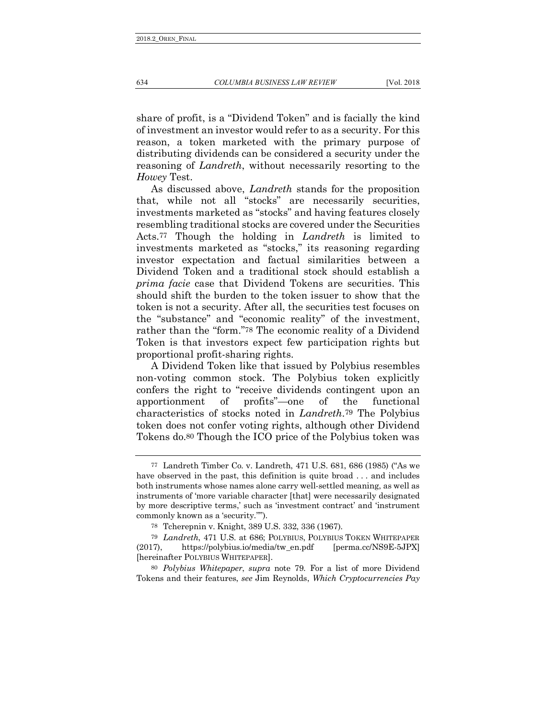<span id="page-17-0"></span>share of profit, is a "Dividend Token" and is facially the kind of investment an investor would refer to as a security. For this reason, a token marketed with the primary purpose of distributing dividends can be considered a security under the reasoning of *Landreth*, without necessarily resorting to the *Howey* Test.

As discussed above, *Landreth* stands for the proposition that, while not all "stocks" are necessarily securities, investments marketed as "stocks" and having features closely resembling traditional stocks are covered under the Securities Acts.77 Though the holding in *Landreth* is limited to investments marketed as "stocks," its reasoning regarding investor expectation and factual similarities between a Dividend Token and a traditional stock should establish a *prima facie* case that Dividend Tokens are securities. This should shift the burden to the token issuer to show that the token is not a security. After all, the securities test focuses on the "substance" and "economic reality" of the investment, rather than the "form."78 The economic reality of a Dividend Token is that investors expect few participation rights but proportional profit-sharing rights.

A Dividend Token like that issued by Polybius resembles non-voting common stock. The Polybius token explicitly confers the right to "receive dividends contingent upon an apportionment of profits"—one of the functional characteristics of stocks noted in *Landreth*.79 The Polybius token does not confer voting rights, although other Dividend Tokens do.80 Though the ICO price of the Polybius token was

80 *Polybius Whitepaper*, *supra* note 79. For a list of more Dividend Tokens and their features, *see* Jim Reynolds, *Which Cryptocurrencies Pay* 

<sup>77</sup> Landreth Timber Co. v. Landreth, 471 U.S. 681, 686 (1985) ("As we have observed in the past, this definition is quite broad ... and includes both instruments whose names alone carry well-settled meaning, as well as instruments of 'more variable character [that] were necessarily designated by more descriptive terms,' such as 'investment contract' and 'instrument commonly known as a 'security.''").

<sup>78</sup> Tcherepnin v. Knight, 389 U.S. 332, 336 (1967).

<sup>79</sup> *Landreth*, 471 U.S. at 686; POLYBIUS, POLYBIUS TOKEN WHITEPAPER (2017), https://polybius.io/media/tw\_en.pdf [perma.cc/NS9E-5JPX] [hereinafter POLYBIUS WHITEPAPER].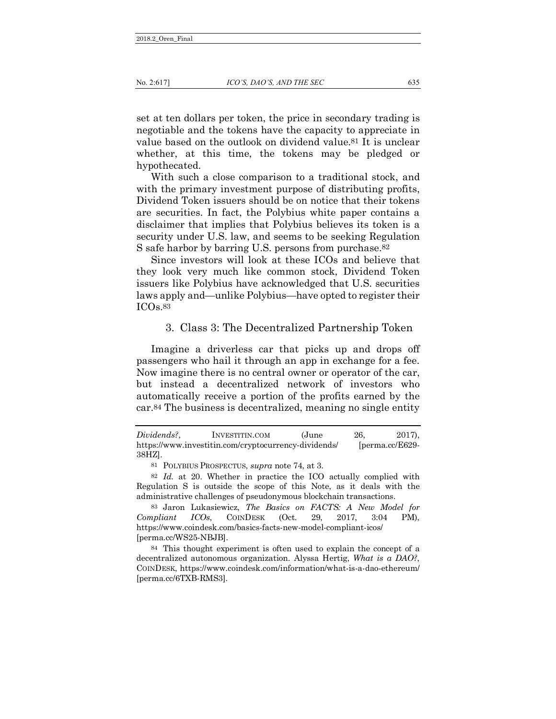set at ten dollars per token, the price in secondary trading is negotiable and the tokens have the capacity to appreciate in value based on the outlook on dividend value.81 It is unclear whether, at this time, the tokens may be pledged or hypothecated.

With such a close comparison to a traditional stock, and with the primary investment purpose of distributing profits, Dividend Token issuers should be on notice that their tokens are securities. In fact, the Polybius white paper contains a disclaimer that implies that Polybius believes its token is a security under U.S. law, and seems to be seeking Regulation S safe harbor by barring U.S. persons from purchase.82

Since investors will look at these ICOs and believe that they look very much like common stock, Dividend Token issuers like Polybius have acknowledged that U.S. securities laws apply and—unlike Polybius—have opted to register their ICOs.83

#### 3. Class 3: The Decentralized Partnership Token

Imagine a driverless car that picks up and drops off passengers who hail it through an app in exchange for a fee. Now imagine there is no central owner or operator of the car, but instead a decentralized network of investors who automatically receive a portion of the profits earned by the car.84 The business is decentralized, meaning no single entity

*Dividends?*, INVESTITIN.COM (June 26, 2017), https://www.investitin.com/cryptocurrency-dividends/ [perma.cc/E629- 38HZ].

<sup>81</sup> POLYBIUS PROSPECTUS, *supra* note 74, at 3.

<sup>82</sup> *Id.* at 20. Whether in practice the ICO actually complied with Regulation S is outside the scope of this Note, as it deals with the administrative challenges of pseudonymous blockchain transactions.

<sup>83</sup> Jaron Lukasiewicz, *The Basics on FACTS: A New Model for Compliant ICOs*, COINDESK (Oct. 29, 2017, 3:04 PM), https://www.coindesk.com/basics-facts-new-model-compliant-icos/ [perma.cc/WS25-NBJB].

<sup>84</sup> This thought experiment is often used to explain the concept of a decentralized autonomous organization. Alyssa Hertig, *What is a DAO?*, COINDESK, https://www.coindesk.com/information/what-is-a-dao-ethereum/ [perma.cc/6TXB-RMS3].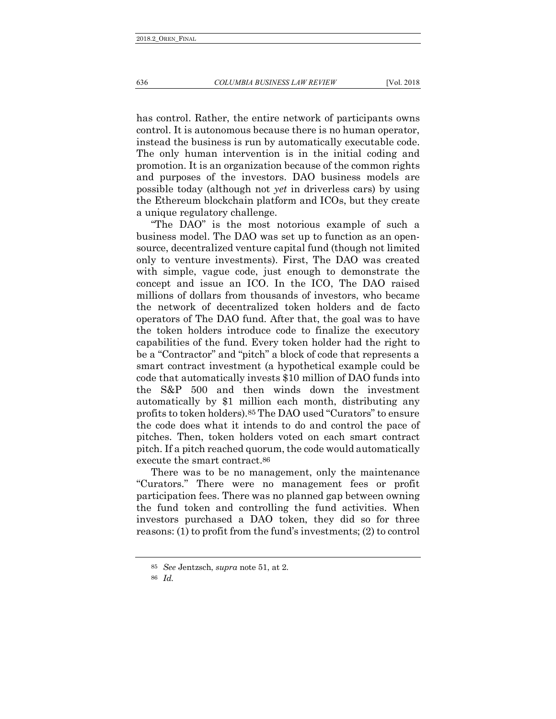has control. Rather, the entire network of participants owns control. It is autonomous because there is no human operator, instead the business is run by automatically executable code. The only human intervention is in the initial coding and promotion. It is an organization because of the common rights and purposes of the investors. DAO business models are possible today (although not *yet* in driverless cars) by using

the Ethereum blockchain platform and ICOs, but they create

a unique regulatory challenge. "The DAO" is the most notorious example of such a business model. The DAO was set up to function as an opensource, decentralized venture capital fund (though not limited only to venture investments). First, The DAO was created with simple, vague code, just enough to demonstrate the concept and issue an ICO. In the ICO, The DAO raised millions of dollars from thousands of investors, who became the network of decentralized token holders and de facto operators of The DAO fund. After that, the goal was to have the token holders introduce code to finalize the executory capabilities of the fund. Every token holder had the right to be a "Contractor" and "pitch" a block of code that represents a smart contract investment (a hypothetical example could be code that automatically invests \$10 million of DAO funds into the S&P 500 and then winds down the investment automatically by \$1 million each month, distributing any profits to token holders).85 The DAO used "Curators" to ensure the code does what it intends to do and control the pace of pitches. Then, token holders voted on each smart contract pitch. If a pitch reached quorum, the code would automatically execute the smart contract.86

There was to be no management, only the maintenance "Curators." There were no management fees or profit participation fees. There was no planned gap between owning the fund token and controlling the fund activities. When investors purchased a DAO token, they did so for three reasons: (1) to profit from the fund's investments; (2) to control

<span id="page-19-0"></span>

<sup>85</sup> *See* Jentzsch, *supra* note 51, at 2.

<sup>86</sup> *Id.*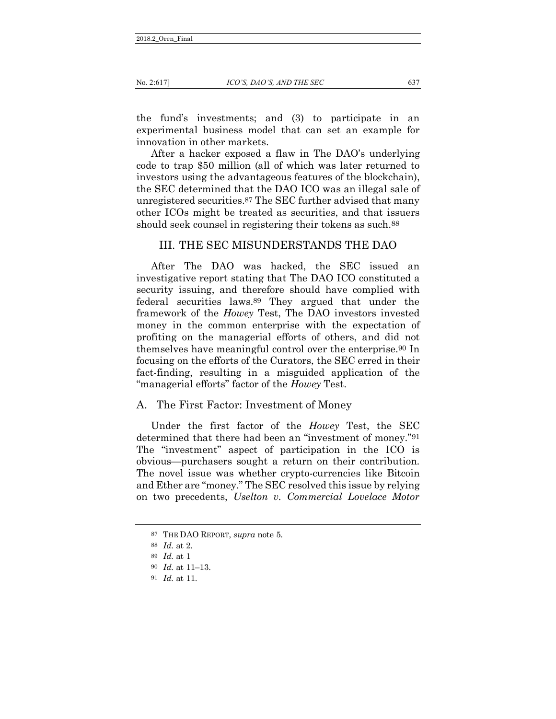the fund's investments; and (3) to participate in an experimental business model that can set an example for innovation in other markets.

After a hacker exposed a flaw in The DAO's underlying code to trap \$50 million (all of which was later returned to investors using the advantageous features of the blockchain), the SEC determined that the DAO ICO was an illegal sale of unregistered securities.87 The SEC further advised that many other ICOs might be treated as securities, and that issuers should seek counsel in registering their tokens as such.<sup>88</sup>

### III. THE SEC MISUNDERSTANDS THE DAO

After The DAO was hacked, the SEC issued an investigative report stating that The DAO ICO constituted a security issuing, and therefore should have complied with federal securities laws.89 They argued that under the framework of the *Howey* Test, The DAO investors invested money in the common enterprise with the expectation of profiting on the managerial efforts of others, and did not themselves have meaningful control over the enterprise.90 In focusing on the efforts of the Curators, the SEC erred in their fact-finding, resulting in a misguided application of the "managerial efforts" factor of the *Howey* Test.

#### A. The First Factor: Investment of Money

<span id="page-20-0"></span>Under the first factor of the *Howey* Test, the SEC determined that there had been an "investment of money."91 The "investment" aspect of participation in the ICO is obvious—purchasers sought a return on their contribution. The novel issue was whether crypto-currencies like Bitcoin and Ether are "money." The SEC resolved this issue by relying on two precedents, *Uselton v. Commercial Lovelace Motor* 

<sup>87</sup> THE DAO REPORT, *supra* note 5.

<sup>88</sup> *Id.* at 2.

<sup>89</sup> *Id.* at 1

<sup>90</sup> *Id.* at 11–13.

<sup>91</sup> *Id.* at 11.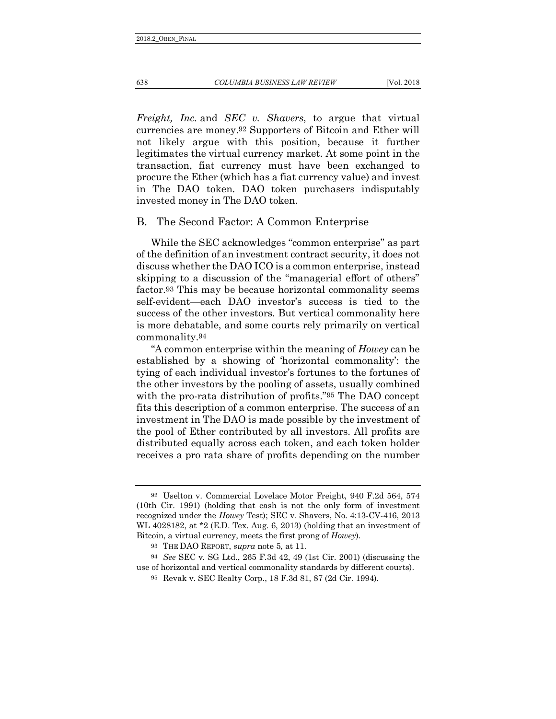638 *COLUMBIA BUSINESS LAW REVIEW* [Vol. 2018

*Freight, Inc.* and *SEC v. Shavers*, to argue that virtual currencies are money.92 Supporters of Bitcoin and Ether will not likely argue with this position, because it further legitimates the virtual currency market. At some point in the transaction, fiat currency must have been exchanged to procure the Ether (which has a fiat currency value) and invest in The DAO token. DAO token purchasers indisputably invested money in The DAO token.

#### <span id="page-21-0"></span>B. The Second Factor: A Common Enterprise

While the SEC acknowledges "common enterprise" as part of the definition of an investment contract security, it does not discuss whether the DAO ICO is a common enterprise, instead skipping to a discussion of the "managerial effort of others" factor.93 This may be because horizontal commonality seems self-evident—each DAO investor's success is tied to the success of the other investors. But vertical commonality here is more debatable, and some courts rely primarily on vertical commonality.94

<span id="page-21-1"></span>"A common enterprise within the meaning of *Howey* can be established by a showing of 'horizontal commonality': the tying of each individual investor's fortunes to the fortunes of the other investors by the pooling of assets, usually combined with the pro-rata distribution of profits."95 The DAO concept fits this description of a common enterprise. The success of an investment in The DAO is made possible by the investment of the pool of Ether contributed by all investors. All profits are distributed equally across each token, and each token holder receives a pro rata share of profits depending on the number

<sup>92</sup> Uselton v. Commercial Lovelace Motor Freight, 940 F.2d 564, 574 (10th Cir. 1991) (holding that cash is not the only form of investment recognized under the *Howey* Test); SEC v. Shavers, No. 4:13-CV-416, 2013 WL 4028182, at \*2 (E.D. Tex. Aug. 6, 2013) (holding that an investment of Bitcoin, a virtual currency, meets the first prong of *Howey*).

<sup>93</sup> THE DAO REPORT, *supra* note 5, at 11.

<sup>94</sup> *See* SEC v. SG Ltd., 265 F.3d 42, 49 (1st Cir. 2001) (discussing the use of horizontal and vertical commonality standards by different courts).

<sup>95</sup> Revak v. SEC Realty Corp., 18 F.3d 81, 87 (2d Cir. 1994).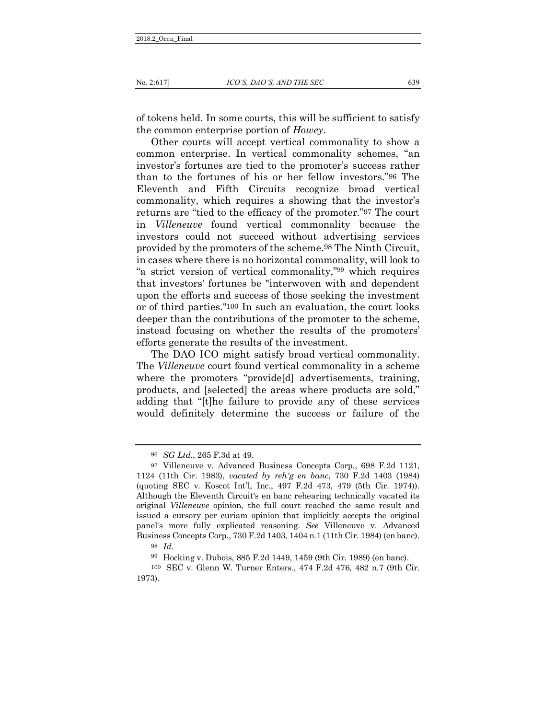of tokens held. In some courts, this will be sufficient to satisfy the common enterprise portion of *Howey*.

Other courts will accept vertical commonality to show a common enterprise. In vertical commonality schemes, "an investor's fortunes are tied to the promoter's success rather than to the fortunes of his or her fellow investors."96 The Eleventh and Fifth Circuits recognize broad vertical commonality, which requires a showing that the investor's returns are "tied to the efficacy of the promoter."97 The court in *Villeneuve* found vertical commonality because the investors could not succeed without advertising services provided by the promoters of the scheme.98 The Ninth Circuit, in cases where there is no horizontal commonality, will look to "a strict version of vertical commonality,"99 which requires that investors' fortunes be "interwoven with and dependent upon the efforts and success of those seeking the investment or of third parties."100 In such an evaluation, the court looks deeper than the contributions of the promoter to the scheme, instead focusing on whether the results of the promoters' efforts generate the results of the investment.

The DAO ICO might satisfy broad vertical commonality. The *Villeneuve* court found vertical commonality in a scheme where the promoters "provide<sup>[d]</sup> advertisements, training, products, and [selected] the areas where products are sold," adding that "[t]he failure to provide any of these services would definitely determine the success or failure of the

<sup>96</sup> *SG Ltd.*, 265 F.3d at 49.

<sup>97</sup> Villeneuve v. Advanced Business Concepts Corp., 698 F.2d 1121, 1124 (11th Cir. 1983), *vacated by reh'g en banc*, 730 F.2d 1403 (1984) (quoting SEC v. Koscot Int'l, Inc., 497 F.2d 473, 479 (5th Cir. 1974)). Although the Eleventh Circuit's en banc rehearing technically vacated its original *Villeneuve* opinion, the full court reached the same result and issued a cursory per curiam opinion that implicitly accepts the original panel's more fully explicated reasoning. *See* Villeneuve v. Advanced Business Concepts Corp., 730 F.2d 1403, 1404 n.1 (11th Cir. 1984) (en banc). 98 *Id.*

<sup>99</sup> Hocking v. Dubois, 885 F.2d 1449, 1459 (9th Cir. 1989) (en banc).

<sup>100</sup> SEC v. Glenn W. Turner Enters., 474 F.2d 476, 482 n.7 (9th Cir. 1973).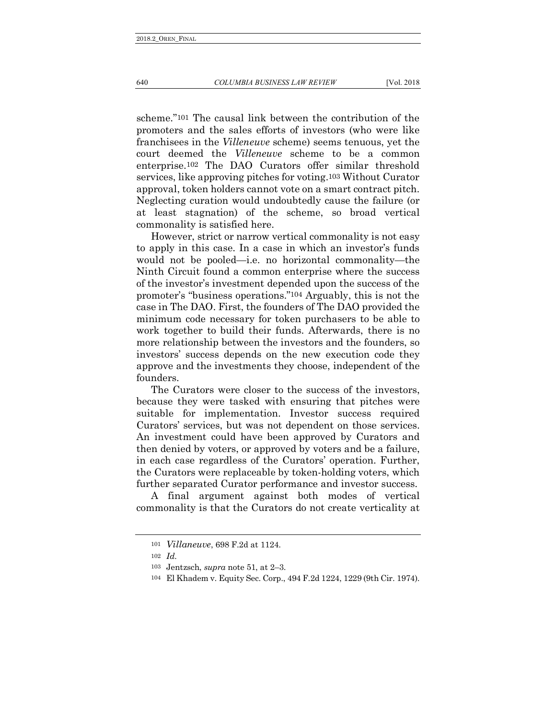scheme."101 The causal link between the contribution of the promoters and the sales efforts of investors (who were like franchisees in the *Villeneuve* scheme) seems tenuous, yet the court deemed the *Villeneuve* scheme to be a common enterprise.102 The DAO Curators offer similar threshold services, like approving pitches for voting.103 Without Curator approval, token holders cannot vote on a smart contract pitch. Neglecting curation would undoubtedly cause the failure (or at least stagnation) of the scheme, so broad vertical commonality is satisfied here.

However, strict or narrow vertical commonality is not easy to apply in this case. In a case in which an investor's funds would not be pooled—i.e. no horizontal commonality—the Ninth Circuit found a common enterprise where the success of the investor's investment depended upon the success of the promoter's "business operations."104 Arguably, this is not the case in The DAO. First, the founders of The DAO provided the minimum code necessary for token purchasers to be able to work together to build their funds. Afterwards, there is no more relationship between the investors and the founders, so investors' success depends on the new execution code they approve and the investments they choose, independent of the founders.

The Curators were closer to the success of the investors, because they were tasked with ensuring that pitches were suitable for implementation. Investor success required Curators' services, but was not dependent on those services. An investment could have been approved by Curators and then denied by voters, or approved by voters and be a failure, in each case regardless of the Curators' operation. Further, the Curators were replaceable by token-holding voters, which further separated Curator performance and investor success.

A final argument against both modes of vertical commonality is that the Curators do not create verticality at

<sup>101</sup> *Villaneuve*, 698 F.2d at 1124.

<sup>102</sup> *Id.*

<sup>103</sup> Jentzsch, *supra* note 51, at 2–3.

<sup>104</sup> El Khadem v. Equity Sec. Corp., 494 F.2d 1224, 1229 (9th Cir. 1974).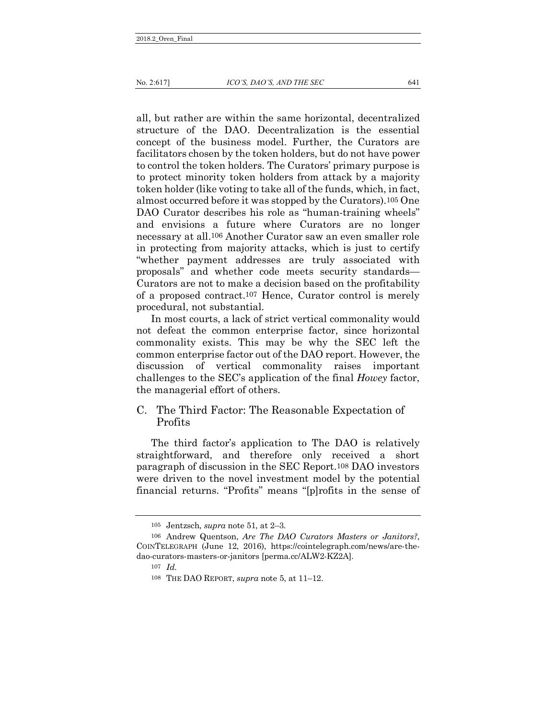all, but rather are within the same horizontal, decentralized structure of the DAO. Decentralization is the essential concept of the business model. Further, the Curators are facilitators chosen by the token holders, but do not have power to control the token holders. The Curators' primary purpose is to protect minority token holders from attack by a majority token holder (like voting to take all of the funds, which, in fact, almost occurred before it was stopped by the Curators).105 One DAO Curator describes his role as "human-training wheels" and envisions a future where Curators are no longer necessary at all.106 Another Curator saw an even smaller role in protecting from majority attacks, which is just to certify "whether payment addresses are truly associated with proposals" and whether code meets security standards— Curators are not to make a decision based on the profitability of a proposed contract.107 Hence, Curator control is merely procedural, not substantial.

In most courts, a lack of strict vertical commonality would not defeat the common enterprise factor, since horizontal commonality exists. This may be why the SEC left the common enterprise factor out of the DAO report. However, the discussion of vertical commonality raises important challenges to the SEC's application of the final *Howey* factor, the managerial effort of others.

## C. The Third Factor: The Reasonable Expectation of Profits

The third factor's application to The DAO is relatively straightforward, and therefore only received a short paragraph of discussion in the SEC Report.108 DAO investors were driven to the novel investment model by the potential financial returns. "Profits" means "[p]rofits in the sense of

<sup>105</sup> Jentzsch, *supra* note 51, at 2–3.

<sup>106</sup> Andrew Quentson, *Are The DAO Curators Masters or Janitors?*, COINTELEGRAPH (June 12, 2016), https://cointelegraph.com/news/are-thedao-curators-masters-or-janitors [perma.cc/ALW2-KZ2A].

<sup>107</sup> *Id.*

<sup>108</sup> THE DAO REPORT, *supra* note 5, at 11–12.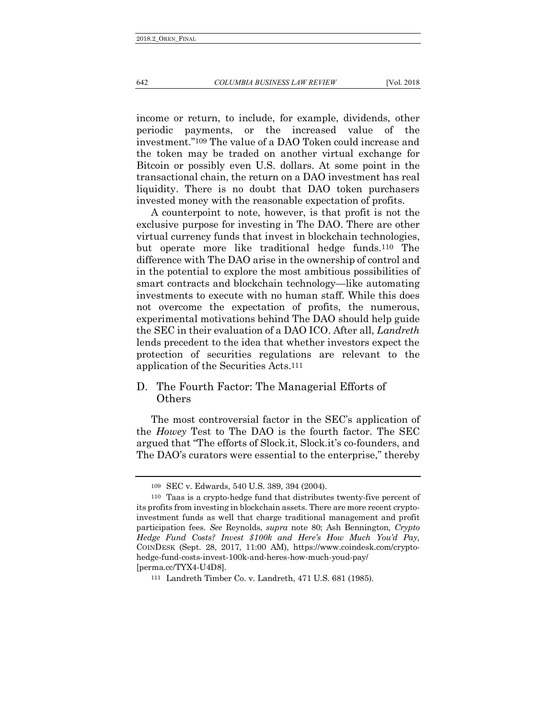#### 642 *COLUMBIA BUSINESS LAW REVIEW* [Vol. 2018

income or return, to include, for example, dividends, other periodic payments, or the increased value of the investment."109 The value of a DAO Token could increase and the token may be traded on another virtual exchange for Bitcoin or possibly even U.S. dollars. At some point in the transactional chain, the return on a DAO investment has real liquidity. There is no doubt that DAO token purchasers invested money with the reasonable expectation of profits.

<span id="page-25-0"></span>A counterpoint to note, however, is that profit is not the exclusive purpose for investing in The DAO. There are other virtual currency funds that invest in blockchain technologies, but operate more like traditional hedge funds.110 The difference with The DAO arise in the ownership of control and in the potential to explore the most ambitious possibilities of smart contracts and blockchain technology—like automating investments to execute with no human staff. While this does not overcome the expectation of profits, the numerous, experimental motivations behind The DAO should help guide the SEC in their evaluation of a DAO ICO. After all, *Landreth* lends precedent to the idea that whether investors expect the protection of securities regulations are relevant to the application of the Securities Acts.111

## D. The Fourth Factor: The Managerial Efforts of Others

The most controversial factor in the SEC's application of the *Howey* Test to The DAO is the fourth factor. The SEC argued that "The efforts of Slock.it, Slock.it's co-founders, and The DAO's curators were essential to the enterprise," thereby

<sup>109</sup> SEC v. Edwards, 540 U.S. 389, 394 (2004).

<sup>110</sup> Taas is a crypto-hedge fund that distributes twenty-five percent of its profits from investing in blockchain assets. There are more recent cryptoinvestment funds as well that charge traditional management and profit participation fees. *See* Reynolds, *supra* note 80; Ash Bennington, *Crypto Hedge Fund Costs? Invest \$100k and Here's How Much You'd Pay,* COINDESK (Sept. 28, 2017, 11:00 AM), https://www.coindesk.com/cryptohedge-fund-costs-invest-100k-and-heres-how-much-youd-pay/ [perma.cc/TYX4-U4D8].

<sup>111</sup> Landreth Timber Co. v. Landreth, 471 U.S. 681 (1985).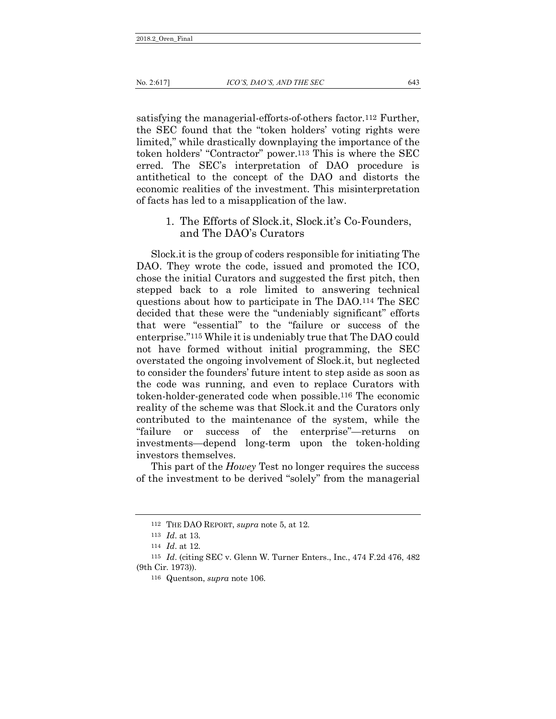satisfying the managerial-efforts-of-others factor.112 Further, the SEC found that the "token holders' voting rights were limited," while drastically downplaying the importance of the token holders' "Contractor" power.113 This is where the SEC erred. The SEC's interpretation of DAO procedure is antithetical to the concept of the DAO and distorts the economic realities of the investment. This misinterpretation of facts has led to a misapplication of the law.

> <span id="page-26-0"></span>1. The Efforts of Slock.it, Slock.it's Co-Founders, and The DAO's Curators

Slock.it is the group of coders responsible for initiating The DAO. They wrote the code, issued and promoted the ICO, chose the initial Curators and suggested the first pitch, then stepped back to a role limited to answering technical questions about how to participate in The DAO.114 The SEC decided that these were the "undeniably significant" efforts that were "essential" to the "failure or success of the enterprise."115 While it is undeniably true that The DAO could not have formed without initial programming, the SEC overstated the ongoing involvement of Slock.it, but neglected to consider the founders' future intent to step aside as soon as the code was running, and even to replace Curators with token-holder-generated code when possible.116 The economic reality of the scheme was that Slock.it and the Curators only contributed to the maintenance of the system, while the "failure or success of the enterprise"—returns on investments—depend long-term upon the token-holding investors themselves.

<span id="page-26-1"></span>This part of the *Howey* Test no longer requires the success of the investment to be derived "solely" from the managerial

<sup>112</sup> THE DAO REPORT, *supra* note 5, at 12.

<sup>113</sup> *Id*. at 13.

<sup>114</sup> *Id*. at 12.

<sup>115</sup> *Id*. (citing SEC v. Glenn W. Turner Enters., Inc., 474 F.2d 476, 482 (9th Cir. 1973)).

<sup>116</sup> Quentson, *supra* note 106.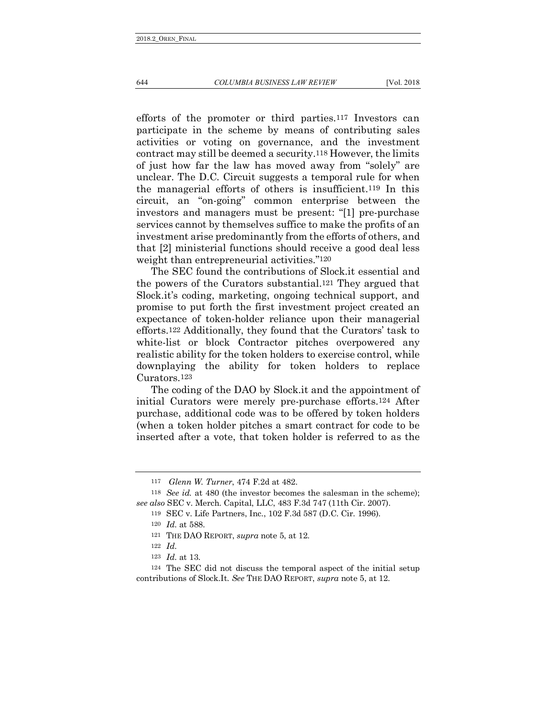644 *COLUMBIA BUSINESS LAW REVIEW* [Vol. 2018

efforts of the promoter or third parties.117 Investors can participate in the scheme by means of contributing sales activities or voting on governance, and the investment contract may still be deemed a security.118 However, the limits of just how far the law has moved away from "solely" are unclear. The D.C. Circuit suggests a temporal rule for when the managerial efforts of others is insufficient.119 In this circuit, an "on-going" common enterprise between the investors and managers must be present: "[1] pre-purchase services cannot by themselves suffice to make the profits of an investment arise predominantly from the efforts of others, and that [2] ministerial functions should receive a good deal less weight than entrepreneurial activities."120

The SEC found the contributions of Slock.it essential and the powers of the Curators substantial.121 They argued that Slock.it's coding, marketing, ongoing technical support, and promise to put forth the first investment project created an expectance of token-holder reliance upon their managerial efforts.122 Additionally, they found that the Curators' task to white-list or block Contractor pitches overpowered any realistic ability for the token holders to exercise control, while downplaying the ability for token holders to replace Curators.123

The coding of the DAO by Slock.it and the appointment of initial Curators were merely pre-purchase efforts.124 After purchase, additional code was to be offered by token holders (when a token holder pitches a smart contract for code to be inserted after a vote, that token holder is referred to as the

<sup>117</sup> *Glenn W. Turner*, 474 F.2d at 482.

<sup>118</sup> *See id.* at 480 (the investor becomes the salesman in the scheme); *see also* SEC v. Merch. Capital, LLC, 483 F.3d 747 (11th Cir. 2007).

<sup>119</sup> SEC v. Life Partners, Inc., 102 F.3d 587 (D.C. Cir. 1996).

<sup>120</sup> *Id.* at 588.

<sup>121</sup> THE DAO REPORT, *supra* note 5, at 12.

<sup>122</sup> *Id.*

<sup>123</sup> *Id.* at 13.

<sup>124</sup> The SEC did not discuss the temporal aspect of the initial setup contributions of Slock.It. *See* THE DAO REPORT, *supra* note 5, at 12.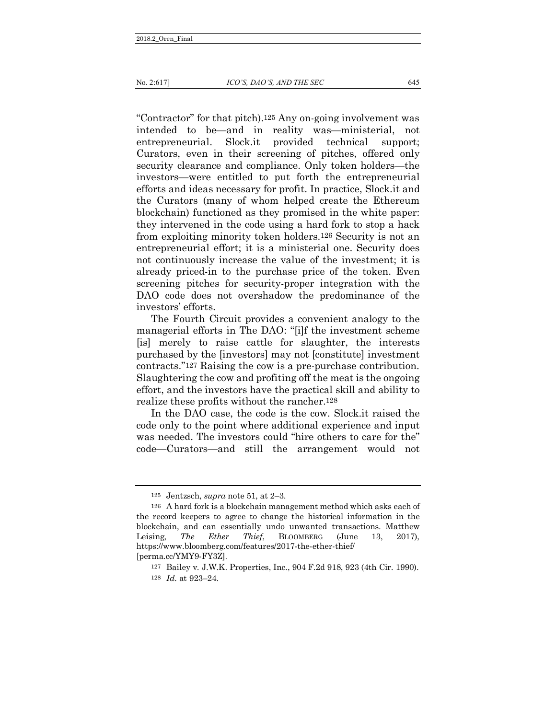"Contractor" for that pitch).125 Any on-going involvement was intended to be—and in reality was—ministerial, not entrepreneurial. Slock.it provided technical support; Curators, even in their screening of pitches, offered only security clearance and compliance. Only token holders—the investors—were entitled to put forth the entrepreneurial efforts and ideas necessary for profit. In practice, Slock.it and the Curators (many of whom helped create the Ethereum blockchain) functioned as they promised in the white paper: they intervened in the code using a hard fork to stop a hack from exploiting minority token holders.126 Security is not an entrepreneurial effort; it is a ministerial one. Security does not continuously increase the value of the investment; it is already priced-in to the purchase price of the token. Even screening pitches for security-proper integration with the DAO code does not overshadow the predominance of the investors' efforts.

The Fourth Circuit provides a convenient analogy to the managerial efforts in The DAO: "[i]f the investment scheme [is] merely to raise cattle for slaughter, the interests purchased by the [investors] may not [constitute] investment contracts."127 Raising the cow is a pre-purchase contribution. Slaughtering the cow and profiting off the meat is the ongoing effort, and the investors have the practical skill and ability to realize these profits without the rancher.128

In the DAO case, the code is the cow. Slock.it raised the code only to the point where additional experience and input was needed. The investors could "hire others to care for the" code—Curators—and still the arrangement would not

<sup>125</sup> Jentzsch, *supra* note 51, at 2–3.

<sup>126</sup> A hard fork is a blockchain management method which asks each of the record keepers to agree to change the historical information in the blockchain, and can essentially undo unwanted transactions. Matthew Leising, *The Ether Thief*, BLOOMBERG (June 13, 2017), https://www.bloomberg.com/features/2017-the-ether-thief/ [perma.cc/YMY9-FY3Z].

<sup>127</sup> Bailey v. J.W.K. Properties, Inc., 904 F.2d 918, 923 (4th Cir. 1990). 128 *Id.* at 923–24.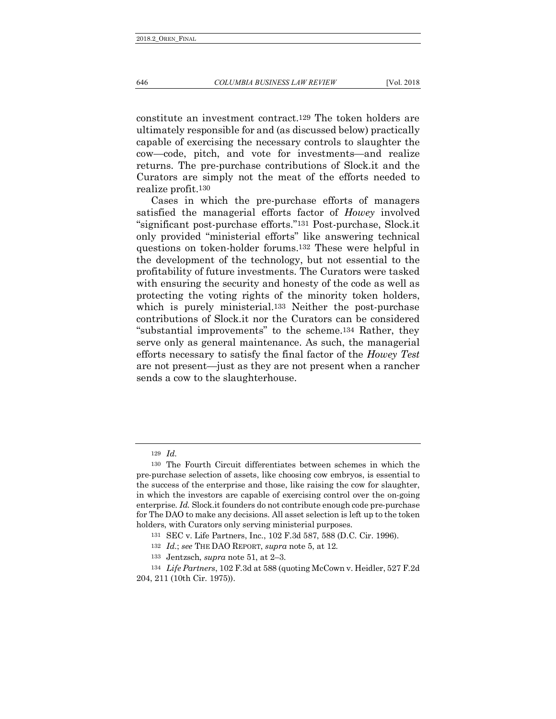constitute an investment contract.129 The token holders are ultimately responsible for and (as discussed below) practically capable of exercising the necessary controls to slaughter the cow—code, pitch, and vote for investments—and realize returns. The pre-purchase contributions of Slock.it and the Curators are simply not the meat of the efforts needed to realize profit.130

Cases in which the pre-purchase efforts of managers satisfied the managerial efforts factor of *Howey* involved "significant post-purchase efforts."131 Post-purchase, Slock.it only provided "ministerial efforts" like answering technical questions on token-holder forums.132 These were helpful in the development of the technology, but not essential to the profitability of future investments. The Curators were tasked with ensuring the security and honesty of the code as well as protecting the voting rights of the minority token holders, which is purely ministerial.<sup>133</sup> Neither the post-purchase contributions of Slock.it nor the Curators can be considered "substantial improvements" to the scheme.134 Rather, they serve only as general maintenance. As such, the managerial efforts necessary to satisfy the final factor of the *Howey Test* are not present—just as they are not present when a rancher sends a cow to the slaughterhouse.

<sup>129</sup> *Id.*

<sup>130</sup> The Fourth Circuit differentiates between schemes in which the pre-purchase selection of assets, like choosing cow embryos, is essential to the success of the enterprise and those, like raising the cow for slaughter, in which the investors are capable of exercising control over the on-going enterprise. *Id.* Slock.it founders do not contribute enough code pre-purchase for The DAO to make any decisions. All asset selection is left up to the token holders, with Curators only serving ministerial purposes.

<sup>131</sup> SEC v. Life Partners, Inc., 102 F.3d 587, 588 (D.C. Cir. 1996).

<sup>132</sup> *Id.*; *see* THE DAO REPORT, *supra* note 5, at 12.

<sup>133</sup> Jentzsch, *supra* note 51, at 2–3.

<sup>134</sup> *Life Partners*, 102 F.3d at 588 (quoting McCown v. Heidler, 527 F.2d 204, 211 (10th Cir. 1975)).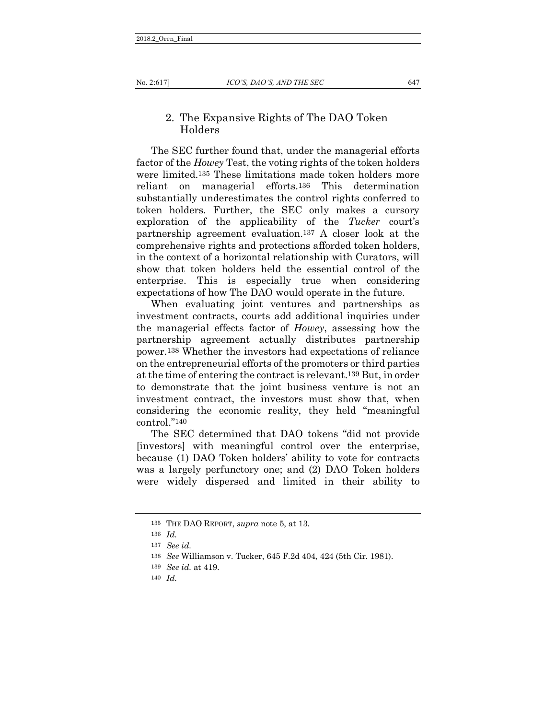### 2. The Expansive Rights of The DAO Token Holders

The SEC further found that, under the managerial efforts factor of the *Howey* Test, the voting rights of the token holders were limited.135 These limitations made token holders more reliant on managerial efforts.136 This determination substantially underestimates the control rights conferred to token holders. Further, the SEC only makes a cursory exploration of the applicability of the *Tucker* court's partnership agreement evaluation.137 A closer look at the comprehensive rights and protections afforded token holders, in the context of a horizontal relationship with Curators, will show that token holders held the essential control of the enterprise. This is especially true when considering expectations of how The DAO would operate in the future.

<span id="page-30-0"></span>When evaluating joint ventures and partnerships as investment contracts, courts add additional inquiries under the managerial effects factor of *Howey*, assessing how the partnership agreement actually distributes partnership power.138 Whether the investors had expectations of reliance on the entrepreneurial efforts of the promoters or third parties at the time of entering the contract is relevant.139 But, in order to demonstrate that the joint business venture is not an investment contract, the investors must show that, when considering the economic reality, they held "meaningful control."140

The SEC determined that DAO tokens "did not provide [investors] with meaningful control over the enterprise, because (1) DAO Token holders' ability to vote for contracts was a largely perfunctory one; and (2) DAO Token holders were widely dispersed and limited in their ability to

<sup>135</sup> THE DAO REPORT, *supra* note 5, at 13.

<sup>136</sup> *Id.*

<sup>137</sup> *See id.*

<sup>138</sup> *See* Williamson v. Tucker, 645 F.2d 404, 424 (5th Cir. 1981).

<sup>139</sup> *See id.* at 419.

<sup>140</sup> *Id.*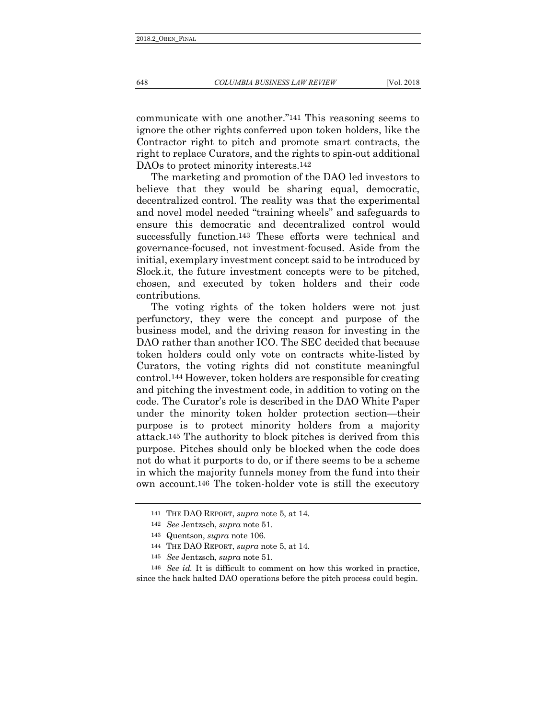communicate with one another."141 This reasoning seems to ignore the other rights conferred upon token holders, like the Contractor right to pitch and promote smart contracts, the right to replace Curators, and the rights to spin-out additional DAOs to protect minority interests.142

The marketing and promotion of the DAO led investors to believe that they would be sharing equal, democratic, decentralized control. The reality was that the experimental and novel model needed "training wheels" and safeguards to ensure this democratic and decentralized control would successfully function.143 These efforts were technical and governance-focused, not investment-focused. Aside from the initial, exemplary investment concept said to be introduced by Slock.it, the future investment concepts were to be pitched, chosen, and executed by token holders and their code contributions.

The voting rights of the token holders were not just perfunctory, they were the concept and purpose of the business model, and the driving reason for investing in the DAO rather than another ICO. The SEC decided that because token holders could only vote on contracts white-listed by Curators, the voting rights did not constitute meaningful control.144 However, token holders are responsible for creating and pitching the investment code, in addition to voting on the code. The Curator's role is described in the DAO White Paper under the minority token holder protection section—their purpose is to protect minority holders from a majority attack.145 The authority to block pitches is derived from this purpose. Pitches should only be blocked when the code does not do what it purports to do, or if there seems to be a scheme in which the majority funnels money from the fund into their own account.146 The token-holder vote is still the executory

146 *See id.* It is difficult to comment on how this worked in practice, since the hack halted DAO operations before the pitch process could begin.

<sup>141</sup> THE DAO REPORT, *supra* note 5, at 14.

<sup>142</sup> *See* Jentzsch, *supra* note 51.

<sup>143</sup> Quentson, *supra* note 106.

<sup>144</sup> THE DAO REPORT, *supra* note 5, at 14.

<sup>145</sup> *See* Jentzsch, *supra* note 51.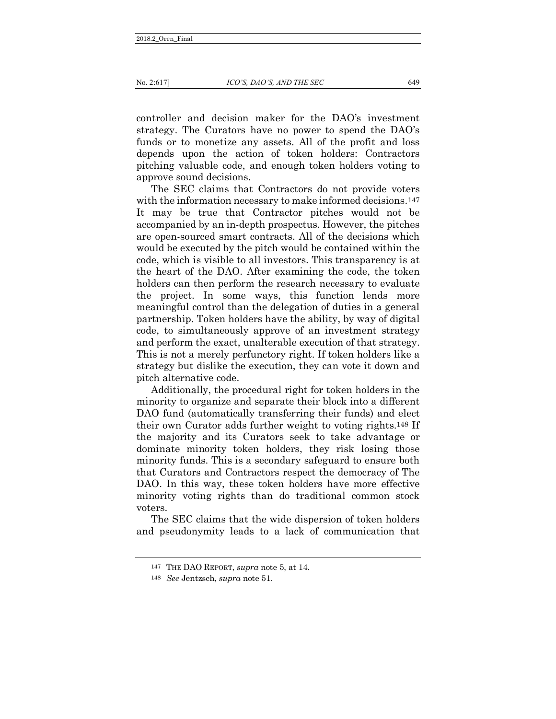controller and decision maker for the DAO's investment strategy. The Curators have no power to spend the DAO's funds or to monetize any assets. All of the profit and loss depends upon the action of token holders: Contractors pitching valuable code, and enough token holders voting to approve sound decisions.

The SEC claims that Contractors do not provide voters with the information necessary to make informed decisions.<sup>147</sup> It may be true that Contractor pitches would not be accompanied by an in-depth prospectus. However, the pitches are open-sourced smart contracts. All of the decisions which would be executed by the pitch would be contained within the code, which is visible to all investors. This transparency is at the heart of the DAO. After examining the code, the token holders can then perform the research necessary to evaluate the project. In some ways, this function lends more meaningful control than the delegation of duties in a general partnership. Token holders have the ability, by way of digital code, to simultaneously approve of an investment strategy and perform the exact, unalterable execution of that strategy. This is not a merely perfunctory right. If token holders like a strategy but dislike the execution, they can vote it down and pitch alternative code.

Additionally, the procedural right for token holders in the minority to organize and separate their block into a different DAO fund (automatically transferring their funds) and elect their own Curator adds further weight to voting rights.148 If the majority and its Curators seek to take advantage or dominate minority token holders, they risk losing those minority funds. This is a secondary safeguard to ensure both that Curators and Contractors respect the democracy of The DAO. In this way, these token holders have more effective minority voting rights than do traditional common stock voters.

The SEC claims that the wide dispersion of token holders and pseudonymity leads to a lack of communication that

<sup>147</sup> THE DAO REPORT, *supra* note 5, at 14.

<sup>148</sup> *See* Jentzsch, *supra* note 51.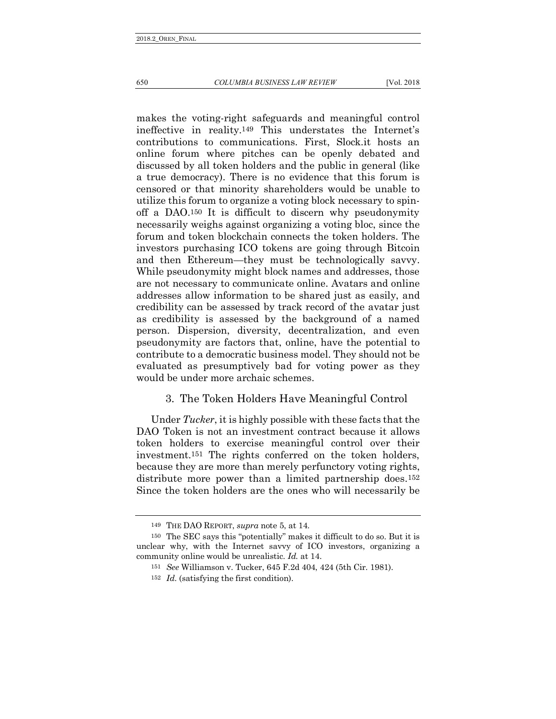650 *COLUMBIA BUSINESS LAW REVIEW* [Vol. 2018

makes the voting-right safeguards and meaningful control ineffective in reality.149 This understates the Internet's contributions to communications. First, Slock.it hosts an online forum where pitches can be openly debated and discussed by all token holders and the public in general (like a true democracy). There is no evidence that this forum is censored or that minority shareholders would be unable to utilize this forum to organize a voting block necessary to spinoff a DAO.150 It is difficult to discern why pseudonymity necessarily weighs against organizing a voting bloc, since the forum and token blockchain connects the token holders. The investors purchasing ICO tokens are going through Bitcoin and then Ethereum—they must be technologically savvy. While pseudonymity might block names and addresses, those are not necessary to communicate online. Avatars and online addresses allow information to be shared just as easily, and credibility can be assessed by track record of the avatar just as credibility is assessed by the background of a named person. Dispersion, diversity, decentralization, and even pseudonymity are factors that, online, have the potential to contribute to a democratic business model. They should not be evaluated as presumptively bad for voting power as they would be under more archaic schemes.

## 3. The Token Holders Have Meaningful Control

Under *Tucker*, it is highly possible with these facts that the DAO Token is not an investment contract because it allows token holders to exercise meaningful control over their investment.151 The rights conferred on the token holders, because they are more than merely perfunctory voting rights, distribute more power than a limited partnership does.<sup>152</sup> Since the token holders are the ones who will necessarily be

<sup>149</sup> THE DAO REPORT, *supra* note 5, at 14.

<sup>150</sup> The SEC says this "potentially" makes it difficult to do so. But it is unclear why, with the Internet savvy of ICO investors, organizing a community online would be unrealistic. *Id.* at 14.

<sup>151</sup> *See* Williamson v. Tucker, 645 F.2d 404, 424 (5th Cir. 1981).

<sup>152</sup> *Id.* (satisfying the first condition).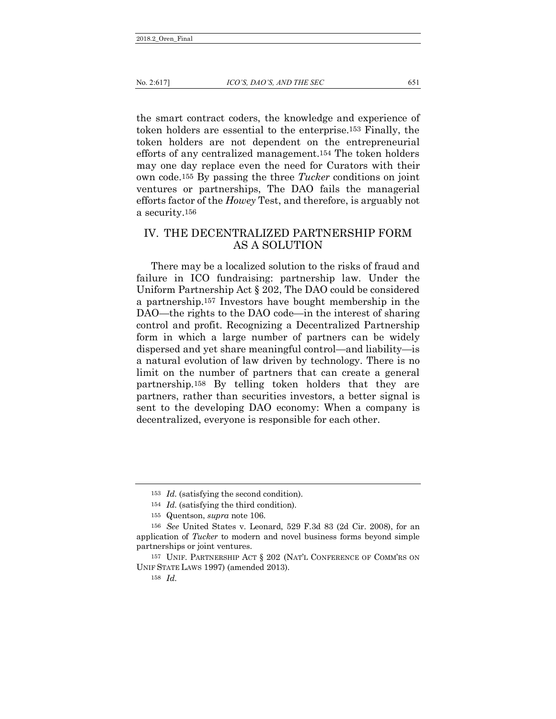the smart contract coders, the knowledge and experience of token holders are essential to the enterprise.153 Finally, the token holders are not dependent on the entrepreneurial efforts of any centralized management.154 The token holders may one day replace even the need for Curators with their own code.155 By passing the three *Tucker* conditions on joint ventures or partnerships, The DAO fails the managerial efforts factor of the *Howey* Test, and therefore, is arguably not a security.156

## <span id="page-34-0"></span>IV. THE DECENTRALIZED PARTNERSHIP FORM AS A SOLUTION

There may be a localized solution to the risks of fraud and failure in ICO fundraising: partnership law. Under the Uniform Partnership Act § 202, The DAO could be considered a partnership.157 Investors have bought membership in the DAO—the rights to the DAO code—in the interest of sharing control and profit. Recognizing a Decentralized Partnership form in which a large number of partners can be widely dispersed and yet share meaningful control—and liability—is a natural evolution of law driven by technology. There is no limit on the number of partners that can create a general partnership.158 By telling token holders that they are partners, rather than securities investors, a better signal is sent to the developing DAO economy: When a company is decentralized, everyone is responsible for each other.

<sup>153</sup> *Id.* (satisfying the second condition).

<sup>154</sup> *Id.* (satisfying the third condition).

<sup>155</sup> Quentson, *supra* note 106.

<sup>156</sup> *See* United States v. Leonard, 529 F.3d 83 (2d Cir. 2008), for an application of *Tucker* to modern and novel business forms beyond simple partnerships or joint ventures.

<sup>157</sup> UNIF. PARTNERSHIP ACT § 202 (NAT'L CONFERENCE OF COMM'RS ON UNIF STATE LAWS 1997) (amended 2013).

<sup>158</sup> *Id.*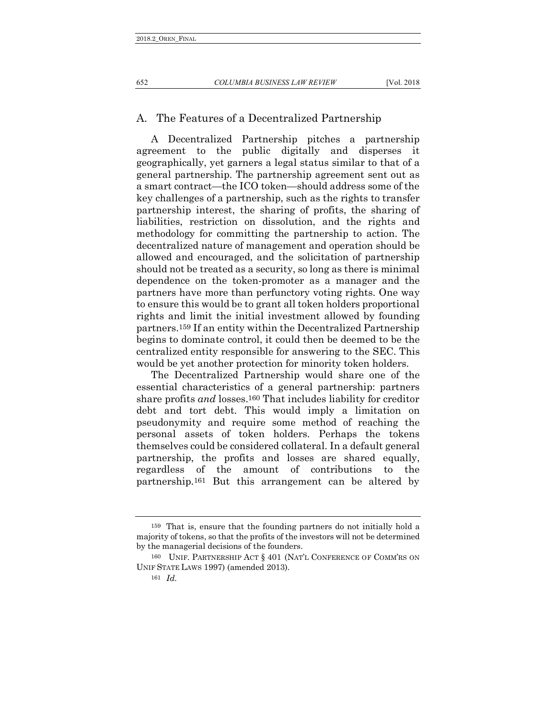652 *COLUMBIA BUSINESS LAW REVIEW* [Vol. 2018

#### A. The Features of a Decentralized Partnership

<span id="page-35-0"></span>A Decentralized Partnership pitches a partnership agreement to the public digitally and disperses it geographically, yet garners a legal status similar to that of a general partnership. The partnership agreement sent out as a smart contract—the ICO token—should address some of the key challenges of a partnership, such as the rights to transfer partnership interest, the sharing of profits, the sharing of liabilities, restriction on dissolution, and the rights and methodology for committing the partnership to action. The decentralized nature of management and operation should be allowed and encouraged, and the solicitation of partnership should not be treated as a security, so long as there is minimal dependence on the token-promoter as a manager and the partners have more than perfunctory voting rights. One way to ensure this would be to grant all token holders proportional rights and limit the initial investment allowed by founding partners.159 If an entity within the Decentralized Partnership begins to dominate control, it could then be deemed to be the centralized entity responsible for answering to the SEC. This would be yet another protection for minority token holders.

<span id="page-35-1"></span>The Decentralized Partnership would share one of the essential characteristics of a general partnership: partners share profits *and* losses.160 That includes liability for creditor debt and tort debt. This would imply a limitation on pseudonymity and require some method of reaching the personal assets of token holders. Perhaps the tokens themselves could be considered collateral. In a default general partnership, the profits and losses are shared equally, regardless of the amount of contributions to the partnership.161 But this arrangement can be altered by

<sup>159</sup> That is, ensure that the founding partners do not initially hold a majority of tokens, so that the profits of the investors will not be determined by the managerial decisions of the founders.

<sup>160</sup> UNIF. PARTNERSHIP ACT § 401 (NAT'L CONFERENCE OF COMM'RS ON UNIF STATE LAWS 1997) (amended 2013).

<sup>161</sup> *Id.*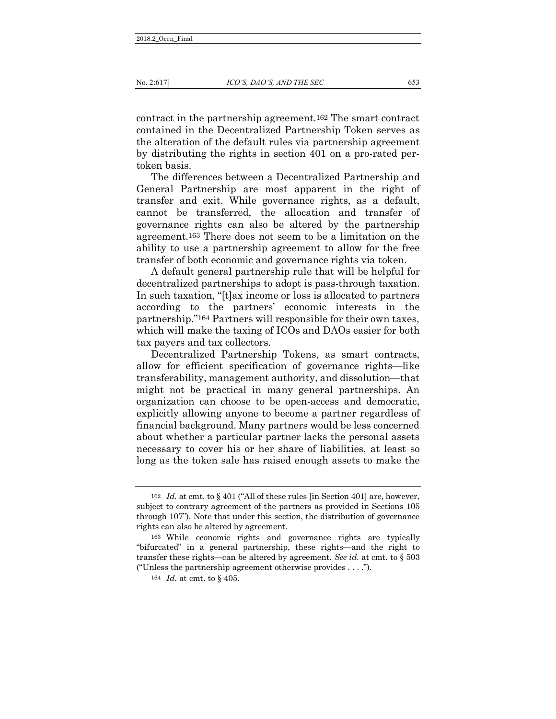contract in the partnership agreement.162 The smart contract contained in the Decentralized Partnership Token serves as the alteration of the default rules via partnership agreement by distributing the rights in section 401 on a pro-rated pertoken basis.

The differences between a Decentralized Partnership and General Partnership are most apparent in the right of transfer and exit. While governance rights, as a default, cannot be transferred, the allocation and transfer of governance rights can also be altered by the partnership agreement.163 There does not seem to be a limitation on the ability to use a partnership agreement to allow for the free transfer of both economic and governance rights via token.

A default general partnership rule that will be helpful for decentralized partnerships to adopt is pass-through taxation. In such taxation, "[t]ax income or loss is allocated to partners according to the partners' economic interests in the partnership."164 Partners will responsible for their own taxes, which will make the taxing of ICOs and DAOs easier for both tax payers and tax collectors.

Decentralized Partnership Tokens, as smart contracts, allow for efficient specification of governance rights—like transferability, management authority, and dissolution—that might not be practical in many general partnerships. An organization can choose to be open-access and democratic, explicitly allowing anyone to become a partner regardless of financial background. Many partners would be less concerned about whether a particular partner lacks the personal assets necessary to cover his or her share of liabilities, at least so long as the token sale has raised enough assets to make the

<sup>162</sup> *Id.* at cmt. to § 401 ("All of these rules [in Section 401] are, however, subject to contrary agreement of the partners as provided in Sections 105 through 107"). Note that under this section, the distribution of governance rights can also be altered by agreement.

<sup>163</sup> While economic rights and governance rights are typically "bifurcated" in a general partnership, these rights—and the right to transfer these rights—can be altered by agreement. *See id.* at cmt. to § 503 ("Unless the partnership agreement otherwise provides . . . .").

<sup>164</sup> *Id.* at cmt. to § 405.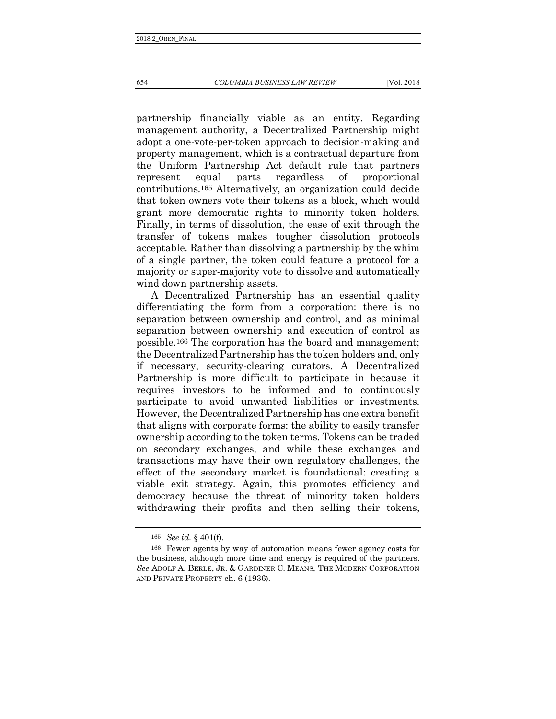654 *COLUMBIA BUSINESS LAW REVIEW* [Vol. 2018

partnership financially viable as an entity. Regarding management authority, a Decentralized Partnership might adopt a one-vote-per-token approach to decision-making and property management, which is a contractual departure from the Uniform Partnership Act default rule that partners represent equal parts regardless of proportional contributions.165 Alternatively, an organization could decide that token owners vote their tokens as a block, which would grant more democratic rights to minority token holders. Finally, in terms of dissolution, the ease of exit through the transfer of tokens makes tougher dissolution protocols acceptable. Rather than dissolving a partnership by the whim of a single partner, the token could feature a protocol for a majority or super-majority vote to dissolve and automatically wind down partnership assets.

A Decentralized Partnership has an essential quality differentiating the form from a corporation: there is no separation between ownership and control, and as minimal separation between ownership and execution of control as possible.166 The corporation has the board and management; the Decentralized Partnership has the token holders and, only if necessary, security-clearing curators. A Decentralized Partnership is more difficult to participate in because it requires investors to be informed and to continuously participate to avoid unwanted liabilities or investments. However, the Decentralized Partnership has one extra benefit that aligns with corporate forms: the ability to easily transfer ownership according to the token terms. Tokens can be traded on secondary exchanges, and while these exchanges and transactions may have their own regulatory challenges, the effect of the secondary market is foundational: creating a viable exit strategy. Again, this promotes efficiency and democracy because the threat of minority token holders withdrawing their profits and then selling their tokens,

<sup>165</sup> *See id.* § 401(f).

<sup>166</sup> Fewer agents by way of automation means fewer agency costs for the business, although more time and energy is required of the partners. *See* ADOLF A. BERLE, JR. & GARDINER C. MEANS, THE MODERN CORPORATION AND PRIVATE PROPERTY ch. 6 (1936).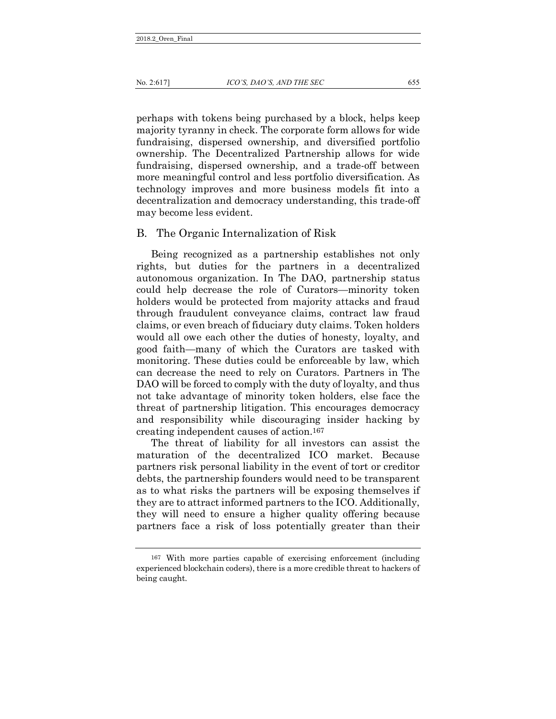perhaps with tokens being purchased by a block, helps keep majority tyranny in check. The corporate form allows for wide fundraising, dispersed ownership, and diversified portfolio ownership. The Decentralized Partnership allows for wide fundraising, dispersed ownership, and a trade-off between more meaningful control and less portfolio diversification. As technology improves and more business models fit into a decentralization and democracy understanding, this trade-off may become less evident.

#### B. The Organic Internalization of Risk

Being recognized as a partnership establishes not only rights, but duties for the partners in a decentralized autonomous organization. In The DAO, partnership status could help decrease the role of Curators—minority token holders would be protected from majority attacks and fraud through fraudulent conveyance claims, contract law fraud claims, or even breach of fiduciary duty claims. Token holders would all owe each other the duties of honesty, loyalty, and good faith—many of which the Curators are tasked with monitoring. These duties could be enforceable by law, which can decrease the need to rely on Curators. Partners in The DAO will be forced to comply with the duty of loyalty, and thus not take advantage of minority token holders, else face the threat of partnership litigation. This encourages democracy and responsibility while discouraging insider hacking by creating independent causes of action.167

The threat of liability for all investors can assist the maturation of the decentralized ICO market. Because partners risk personal liability in the event of tort or creditor debts, the partnership founders would need to be transparent as to what risks the partners will be exposing themselves if they are to attract informed partners to the ICO. Additionally, they will need to ensure a higher quality offering because partners face a risk of loss potentially greater than their

<sup>167</sup> With more parties capable of exercising enforcement (including experienced blockchain coders), there is a more credible threat to hackers of being caught.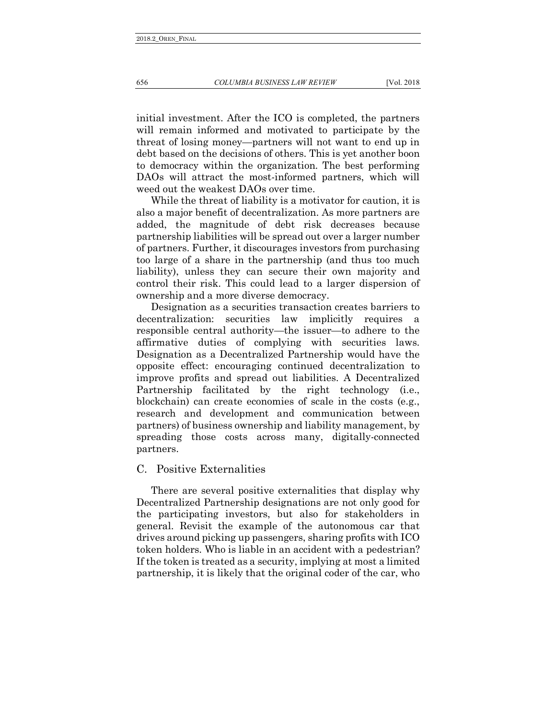<span id="page-39-0"></span>initial investment. After the ICO is completed, the partners will remain informed and motivated to participate by the threat of losing money—partners will not want to end up in debt based on the decisions of others. This is yet another boon to democracy within the organization. The best performing DAOs will attract the most-informed partners, which will weed out the weakest DAOs over time.

While the threat of liability is a motivator for caution, it is also a major benefit of decentralization. As more partners are added, the magnitude of debt risk decreases because partnership liabilities will be spread out over a larger number of partners. Further, it discourages investors from purchasing too large of a share in the partnership (and thus too much liability), unless they can secure their own majority and control their risk. This could lead to a larger dispersion of ownership and a more diverse democracy.

Designation as a securities transaction creates barriers to decentralization: securities law implicitly requires a responsible central authority—the issuer—to adhere to the affirmative duties of complying with securities laws. Designation as a Decentralized Partnership would have the opposite effect: encouraging continued decentralization to improve profits and spread out liabilities. A Decentralized Partnership facilitated by the right technology (i.e., blockchain) can create economies of scale in the costs (e.g., research and development and communication between partners) of business ownership and liability management, by spreading those costs across many, digitally-connected partners.

### C. Positive Externalities

There are several positive externalities that display why Decentralized Partnership designations are not only good for the participating investors, but also for stakeholders in general. Revisit the example of the autonomous car that drives around picking up passengers, sharing profits with ICO token holders. Who is liable in an accident with a pedestrian? If the token is treated as a security, implying at most a limited partnership, it is likely that the original coder of the car, who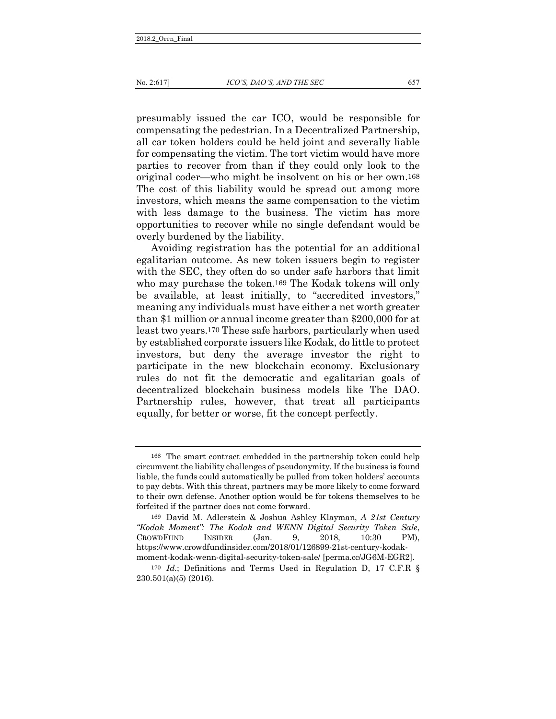presumably issued the car ICO, would be responsible for compensating the pedestrian. In a Decentralized Partnership, all car token holders could be held joint and severally liable for compensating the victim. The tort victim would have more parties to recover from than if they could only look to the original coder—who might be insolvent on his or her own.168 The cost of this liability would be spread out among more investors, which means the same compensation to the victim with less damage to the business. The victim has more opportunities to recover while no single defendant would be overly burdened by the liability.

Avoiding registration has the potential for an additional egalitarian outcome. As new token issuers begin to register with the SEC, they often do so under safe harbors that limit who may purchase the token.169 The Kodak tokens will only be available, at least initially, to "accredited investors," meaning any individuals must have either a net worth greater than \$1 million or annual income greater than \$200,000 for at least two years.170 These safe harbors, particularly when used by established corporate issuers like Kodak, do little to protect investors, but deny the average investor the right to participate in the new blockchain economy. Exclusionary rules do not fit the democratic and egalitarian goals of decentralized blockchain business models like The DAO. Partnership rules, however, that treat all participants equally, for better or worse, fit the concept perfectly.

<span id="page-40-0"></span><sup>168</sup> The smart contract embedded in the partnership token could help circumvent the liability challenges of pseudonymity. If the business is found liable, the funds could automatically be pulled from token holders' accounts to pay debts. With this threat, partners may be more likely to come forward to their own defense. Another option would be for tokens themselves to be forfeited if the partner does not come forward.

<sup>169</sup> David M. Adlerstein & Joshua Ashley Klayman, *A 21st Century "Kodak Moment": The Kodak and WENN Digital Security Token Sale*, CROWDFUND INSIDER (Jan. 9, 2018, 10:30 PM), https://www.crowdfundinsider.com/2018/01/126899-21st-century-kodakmoment-kodak-wenn-digital-security-token-sale/ [perma.cc/JG6M-EGR2].

<sup>170</sup> *Id.*; Definitions and Terms Used in Regulation D, 17 C.F.R § 230.501(a)(5) (2016).